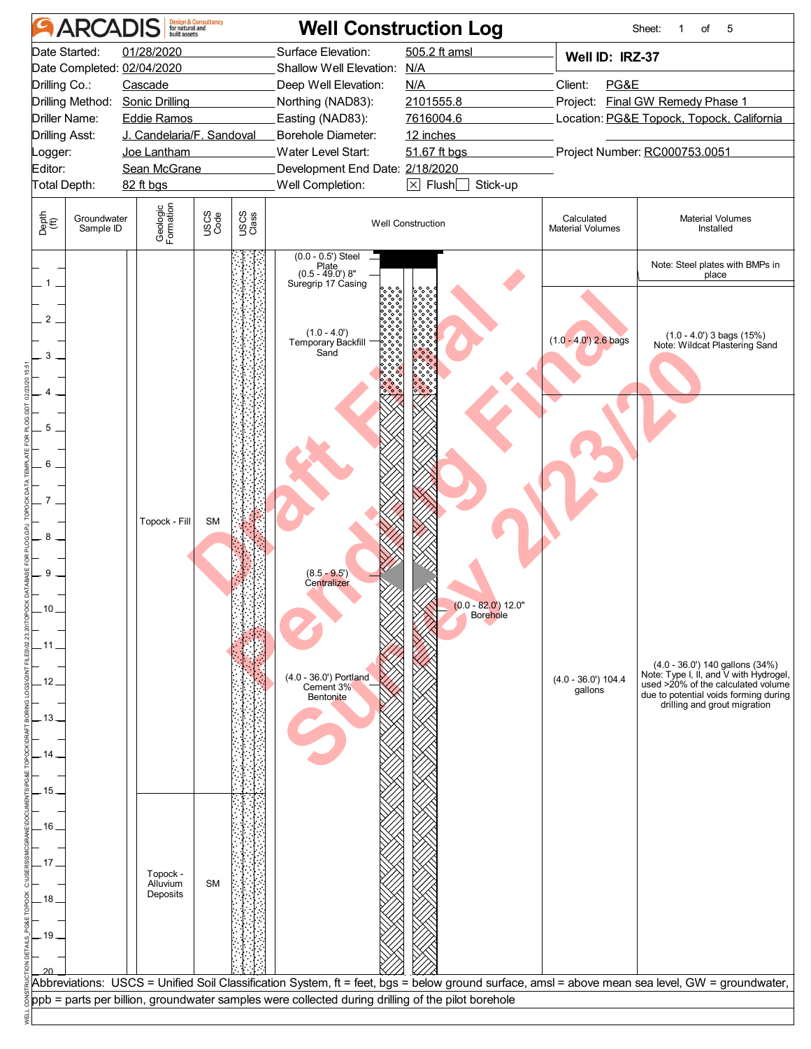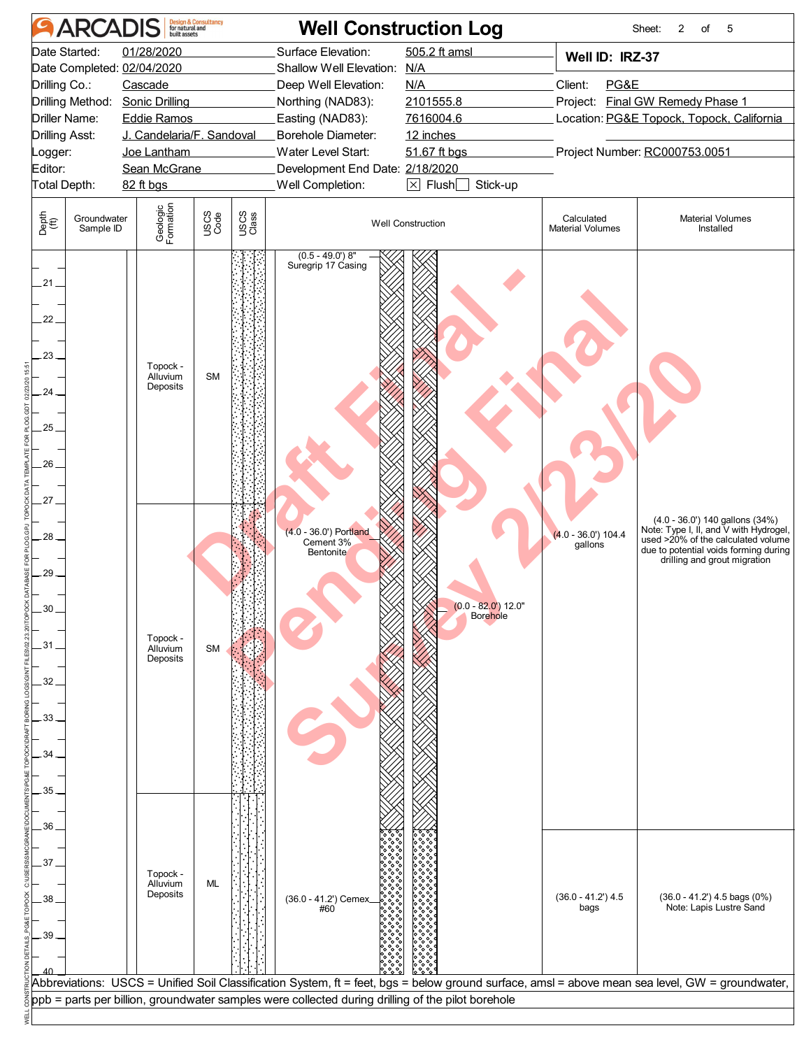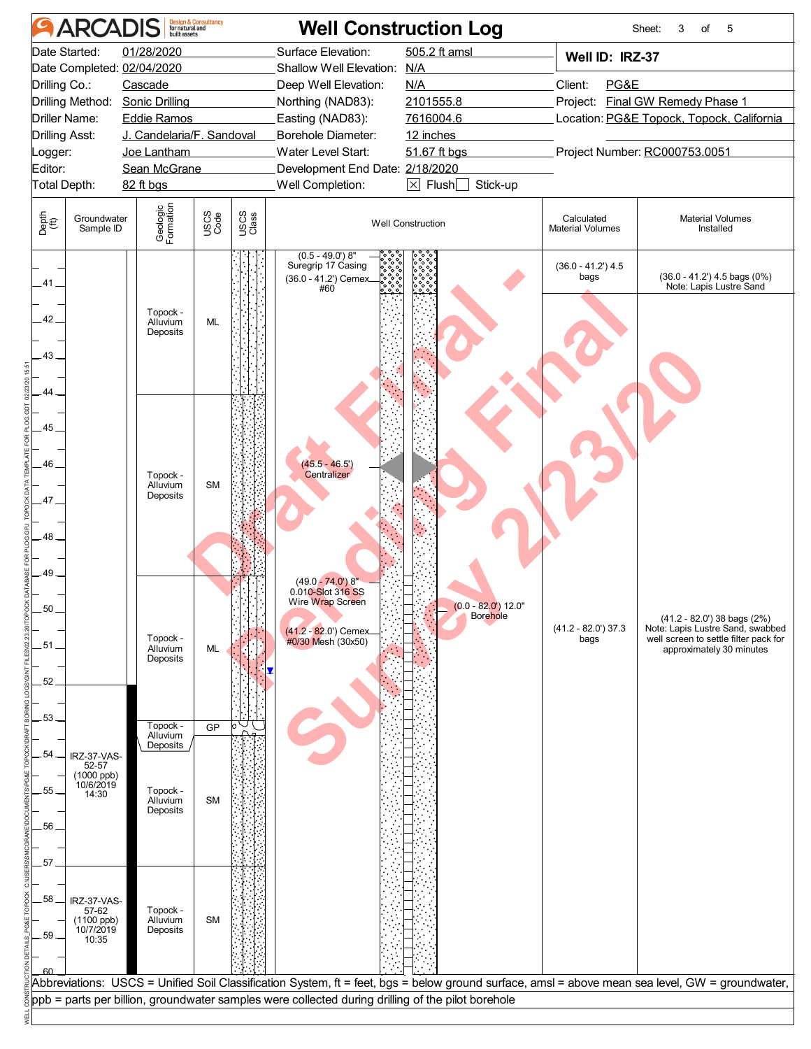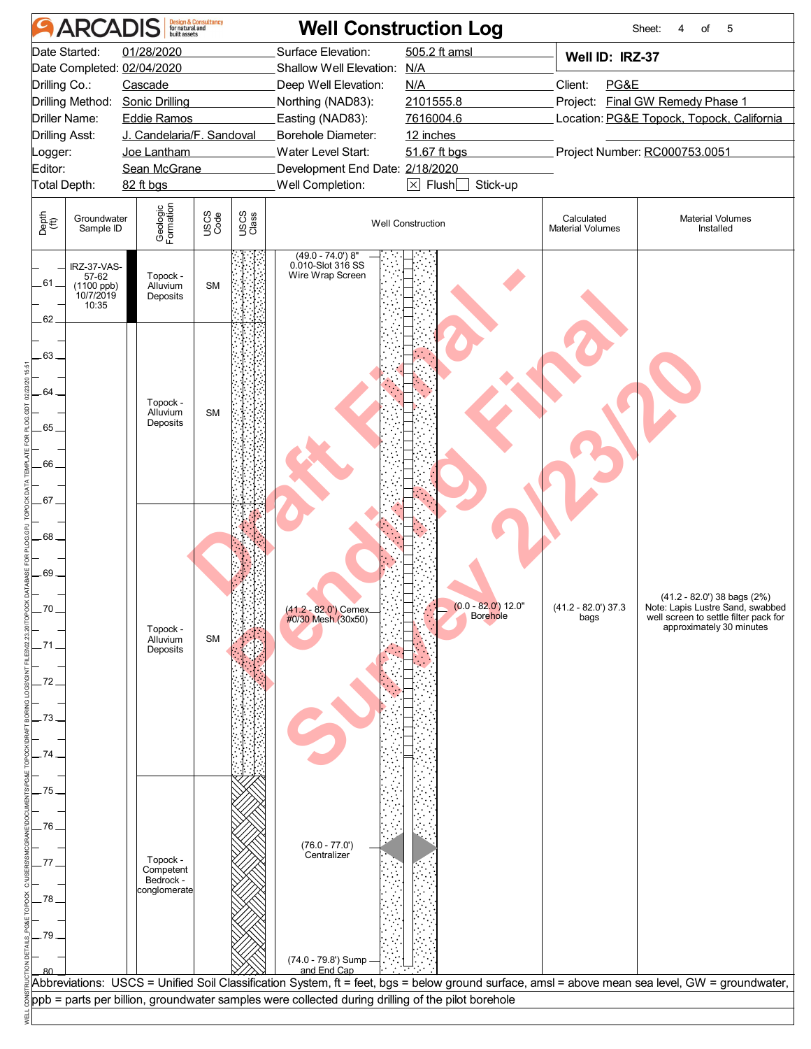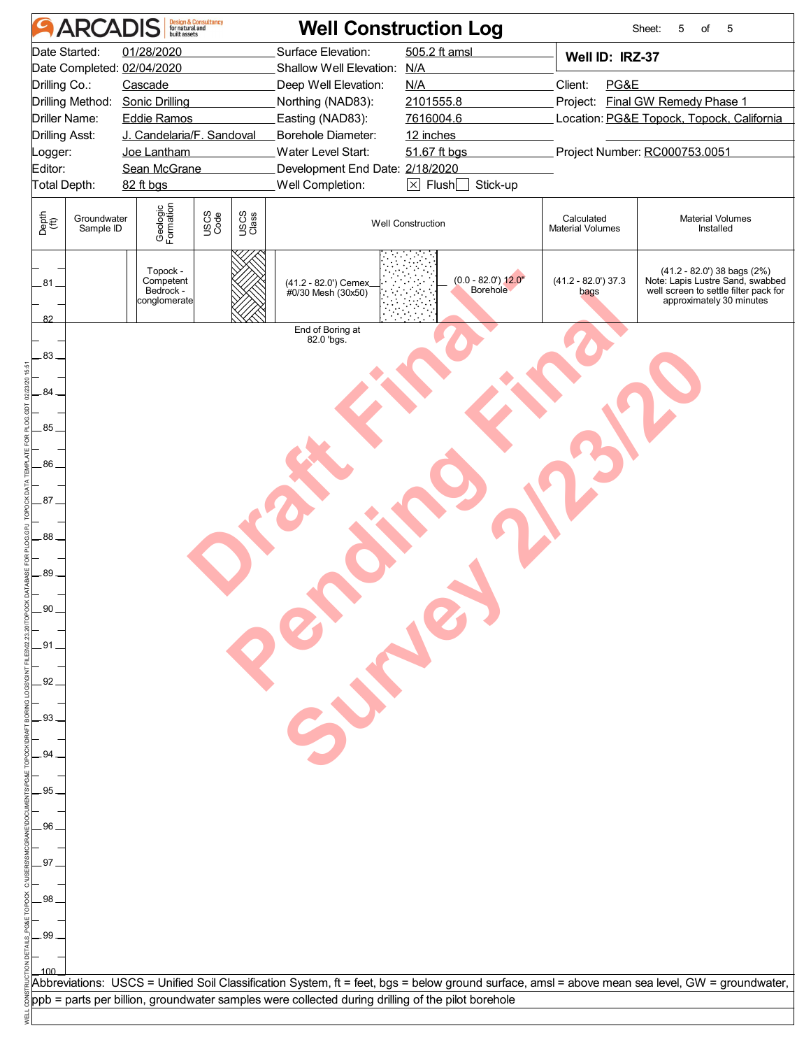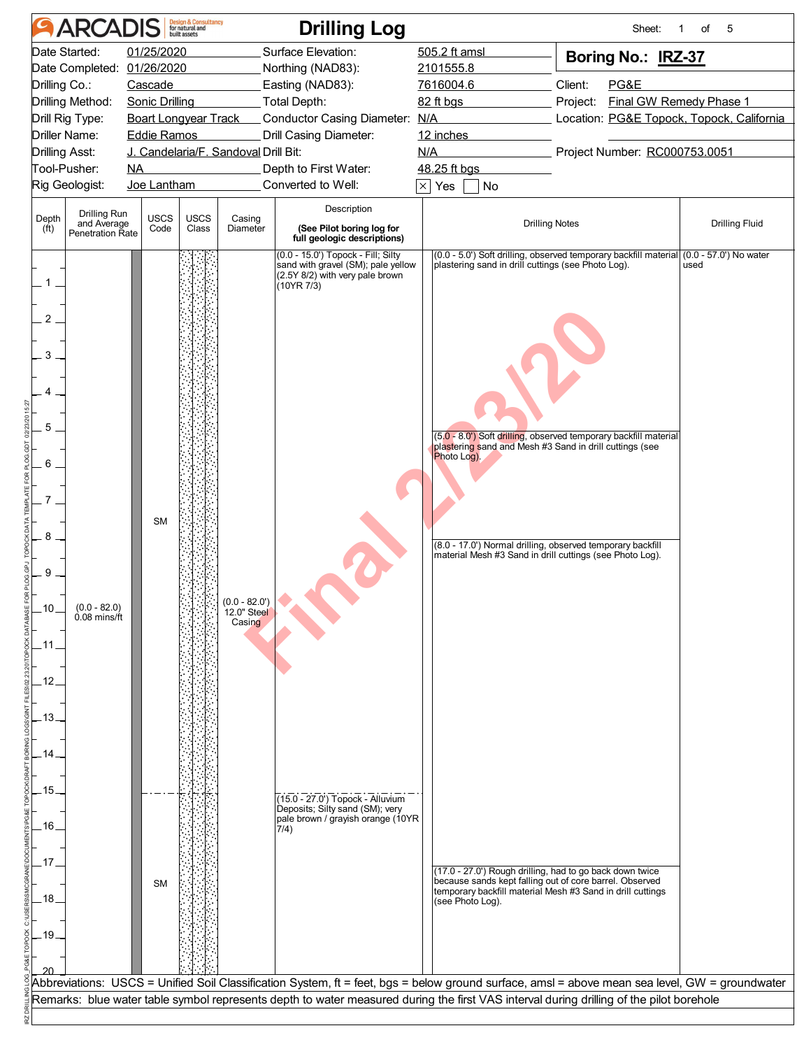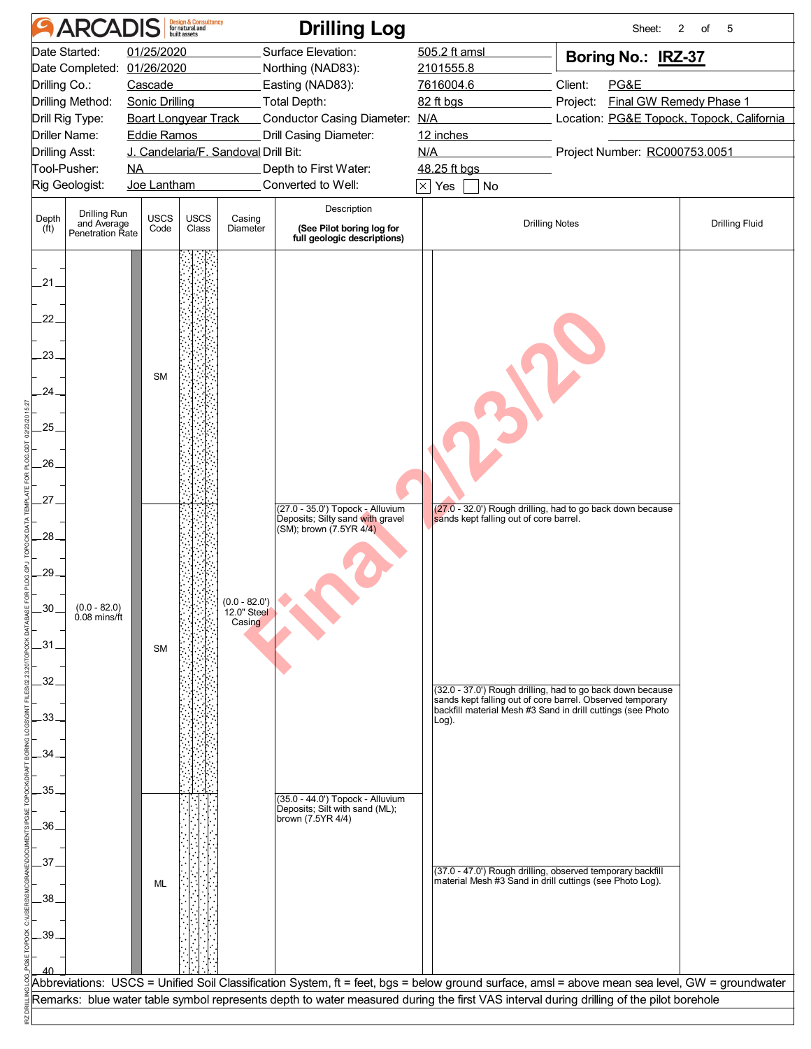|                       | <b>ARCADIS</b>                 |    |                       | <b>Design &amp; Consultancy</b><br>for natural and |                                      | <b>Drilling Log</b>                                                                                                                            |                                                                                                                          | Sheet:                                                     | 2<br>of<br>5            |
|-----------------------|--------------------------------|----|-----------------------|----------------------------------------------------|--------------------------------------|------------------------------------------------------------------------------------------------------------------------------------------------|--------------------------------------------------------------------------------------------------------------------------|------------------------------------------------------------|-------------------------|
|                       | Date Started:                  |    | 01/25/2020            |                                                    |                                      | Surface Elevation:                                                                                                                             | 505.2 ft amsl                                                                                                            | Boring No.: IRZ-37                                         |                         |
|                       | Date Completed: 01/26/2020     |    |                       |                                                    |                                      | Northing (NAD83):                                                                                                                              | 2101555.8                                                                                                                |                                                            |                         |
| Drilling Co.:         |                                |    | Cascade               |                                                    |                                      | Easting (NAD83):                                                                                                                               | 7616004.6                                                                                                                | Client:<br>PG&E                                            |                         |
|                       | Drilling Method:               |    | <b>Sonic Drilling</b> |                                                    |                                      | Total Depth:                                                                                                                                   | 82 ft bgs                                                                                                                | Project:                                                   | Final GW Remedy Phase 1 |
|                       | Drill Rig Type:                |    |                       | <b>Boart Longyear Track</b>                        |                                      | Conductor Casing Diameter: N/A                                                                                                                 |                                                                                                                          | Location: PG&E Topock, Topock, California                  |                         |
|                       | Driller Name:                  |    | <b>Eddie Ramos</b>    |                                                    |                                      | Drill Casing Diameter:                                                                                                                         | 12 inches                                                                                                                |                                                            |                         |
| <b>Drilling Asst:</b> | Tool-Pusher:                   | NA |                       |                                                    | J. Candelaria/F. Sandoval Drill Bit: | Depth to First Water:                                                                                                                          | N/A<br>48.25 ft bgs                                                                                                      | Project Number: RC000753.0051                              |                         |
|                       | Rig Geologist:                 |    | Joe Lantham           |                                                    |                                      | Converted to Well:                                                                                                                             | $\overline{\times}$ Yes<br>No                                                                                            |                                                            |                         |
|                       |                                |    |                       |                                                    |                                      |                                                                                                                                                |                                                                                                                          |                                                            |                         |
| Depth                 | Drilling Run<br>and Average    |    | <b>USCS</b>           | <b>USCS</b>                                        | Casing                               | Description                                                                                                                                    | <b>Drilling Notes</b>                                                                                                    |                                                            | <b>Drilling Fluid</b>   |
| (f <sup>t</sup> )     | Penetration Rate               |    | Code                  | Class                                              | Diameter                             | (See Pilot boring log for<br>full geologic descriptions)                                                                                       |                                                                                                                          |                                                            |                         |
|                       |                                |    |                       |                                                    |                                      |                                                                                                                                                |                                                                                                                          |                                                            |                         |
|                       |                                |    |                       |                                                    |                                      |                                                                                                                                                |                                                                                                                          |                                                            |                         |
| 21.                   |                                |    |                       |                                                    |                                      |                                                                                                                                                |                                                                                                                          |                                                            |                         |
|                       |                                |    |                       |                                                    |                                      |                                                                                                                                                |                                                                                                                          |                                                            |                         |
| 22.                   |                                |    |                       |                                                    |                                      |                                                                                                                                                |                                                                                                                          |                                                            |                         |
|                       |                                |    |                       |                                                    |                                      |                                                                                                                                                |                                                                                                                          |                                                            |                         |
| 23.                   |                                |    |                       |                                                    |                                      |                                                                                                                                                |                                                                                                                          |                                                            |                         |
|                       |                                |    | <b>SM</b>             |                                                    |                                      |                                                                                                                                                |                                                                                                                          |                                                            |                         |
| 24.                   |                                |    |                       |                                                    |                                      |                                                                                                                                                |                                                                                                                          |                                                            |                         |
|                       |                                |    |                       |                                                    |                                      |                                                                                                                                                |                                                                                                                          |                                                            |                         |
| 25.                   |                                |    |                       |                                                    |                                      |                                                                                                                                                |                                                                                                                          |                                                            |                         |
|                       |                                |    |                       |                                                    |                                      |                                                                                                                                                |                                                                                                                          |                                                            |                         |
| 26.                   |                                |    |                       |                                                    |                                      |                                                                                                                                                |                                                                                                                          |                                                            |                         |
|                       |                                |    |                       |                                                    |                                      |                                                                                                                                                |                                                                                                                          |                                                            |                         |
| 27.                   |                                |    |                       |                                                    |                                      | (27.0 - 35.0') Topock - Alluvium                                                                                                               |                                                                                                                          | (27.0 - 32.0') Rough drilling, had to go back down because |                         |
|                       |                                |    |                       |                                                    |                                      | Deposits; Silty sand with gravel<br>(SM); brown (7.5YR 4/4)                                                                                    | sands kept falling out of core barrel.                                                                                   |                                                            |                         |
| 28.                   |                                |    |                       |                                                    |                                      |                                                                                                                                                |                                                                                                                          |                                                            |                         |
|                       |                                |    |                       |                                                    |                                      |                                                                                                                                                |                                                                                                                          |                                                            |                         |
| .29                   |                                |    |                       |                                                    |                                      |                                                                                                                                                |                                                                                                                          |                                                            |                         |
|                       |                                |    |                       |                                                    | $(0.0 - 82.0')$                      |                                                                                                                                                |                                                                                                                          |                                                            |                         |
| 30.                   | $(0.0 - 82.0)$<br>0.08 mins/ft |    |                       |                                                    | 12.0" Steel<br>Casing                |                                                                                                                                                |                                                                                                                          |                                                            |                         |
|                       |                                |    |                       |                                                    |                                      |                                                                                                                                                |                                                                                                                          |                                                            |                         |
| .31.                  |                                |    | <b>SM</b>             |                                                    |                                      |                                                                                                                                                |                                                                                                                          |                                                            |                         |
|                       |                                |    |                       |                                                    |                                      |                                                                                                                                                |                                                                                                                          |                                                            |                         |
| .32.                  |                                |    |                       |                                                    |                                      |                                                                                                                                                |                                                                                                                          | (32.0 - 37.0') Rough drilling, had to go back down because |                         |
| 33.                   |                                |    |                       |                                                    |                                      |                                                                                                                                                | sands kept falling out of core barrel. Observed temporary<br>backfill material Mesh #3 Sand in drill cuttings (see Photo |                                                            |                         |
|                       |                                |    |                       |                                                    |                                      |                                                                                                                                                | Log).                                                                                                                    |                                                            |                         |
| 34.                   |                                |    |                       |                                                    |                                      |                                                                                                                                                |                                                                                                                          |                                                            |                         |
|                       |                                |    |                       |                                                    |                                      |                                                                                                                                                |                                                                                                                          |                                                            |                         |
| .35.                  |                                |    |                       |                                                    |                                      |                                                                                                                                                |                                                                                                                          |                                                            |                         |
|                       |                                |    |                       |                                                    |                                      | (35.0 - 44.0') Topock - Alluvium<br>Deposits; Silt with sand (ML);                                                                             |                                                                                                                          |                                                            |                         |
| .36.                  |                                |    |                       |                                                    |                                      | brown (7.5YR 4/4)                                                                                                                              |                                                                                                                          |                                                            |                         |
|                       |                                |    |                       |                                                    |                                      |                                                                                                                                                |                                                                                                                          |                                                            |                         |
| .37.                  |                                |    |                       |                                                    |                                      |                                                                                                                                                |                                                                                                                          |                                                            |                         |
|                       |                                |    |                       |                                                    |                                      |                                                                                                                                                | (37.0 - 47.0') Rough drilling, observed temporary backfill<br>material Mesh #3 Sand in drill cuttings (see Photo Log).   |                                                            |                         |
| 38.                   |                                |    | ML                    |                                                    |                                      |                                                                                                                                                |                                                                                                                          |                                                            |                         |
|                       |                                |    |                       |                                                    |                                      |                                                                                                                                                |                                                                                                                          |                                                            |                         |
| .39.                  |                                |    |                       |                                                    |                                      |                                                                                                                                                |                                                                                                                          |                                                            |                         |
|                       |                                |    |                       |                                                    |                                      |                                                                                                                                                |                                                                                                                          |                                                            |                         |
|                       |                                |    |                       |                                                    |                                      |                                                                                                                                                |                                                                                                                          |                                                            |                         |
|                       |                                |    |                       |                                                    |                                      | Abbreviations: USCS = Unified Soil Classification System, ft = feet, bgs = below ground surface, amsl = above mean sea level, GW = groundwater |                                                                                                                          |                                                            |                         |
|                       |                                |    |                       |                                                    |                                      | Remarks: blue water table symbol represents depth to water measured during the first VAS interval during drilling of the pilot borehole        |                                                                                                                          |                                                            |                         |
|                       |                                |    |                       |                                                    |                                      |                                                                                                                                                |                                                                                                                          |                                                            |                         |
|                       |                                |    |                       |                                                    |                                      |                                                                                                                                                |                                                                                                                          |                                                            |                         |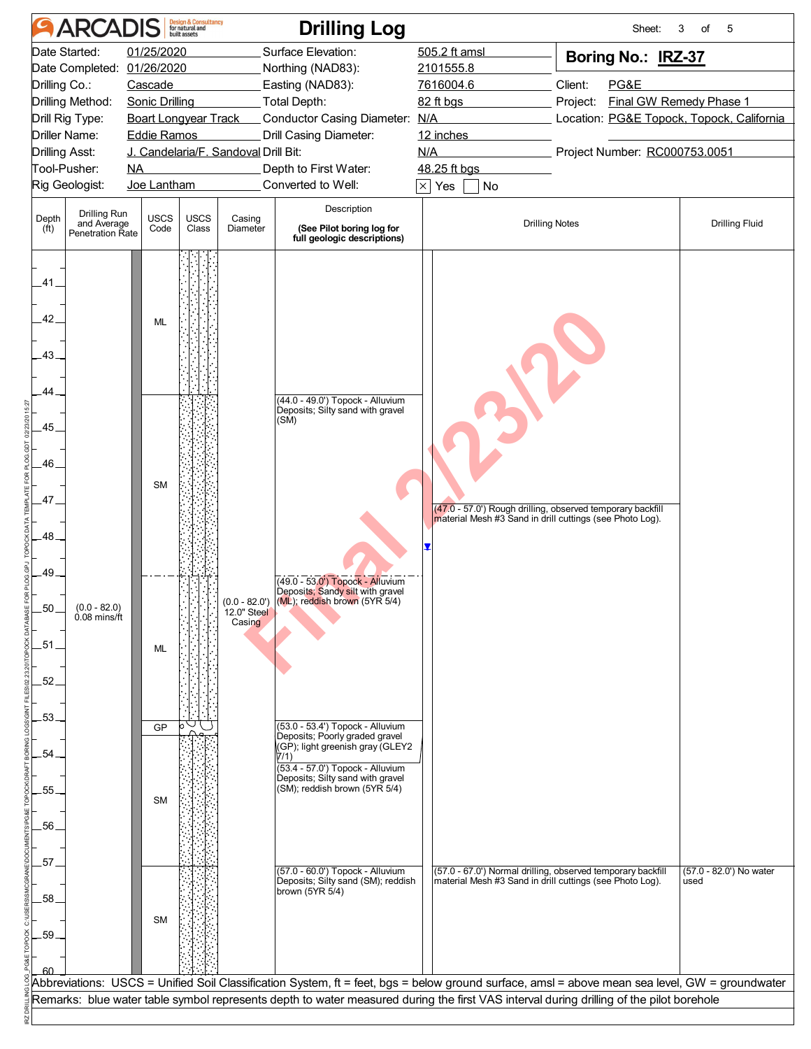|                            | <b>ARCADIS</b>                         |                       | <b>Design &amp; Consultancy</b><br>for natural and |                                      | <b>Drilling Log</b>                                                               |                                                                                                                                                | Sheet:                        | 3<br>of<br>5                              |
|----------------------------|----------------------------------------|-----------------------|----------------------------------------------------|--------------------------------------|-----------------------------------------------------------------------------------|------------------------------------------------------------------------------------------------------------------------------------------------|-------------------------------|-------------------------------------------|
|                            | Date Started:                          | 01/25/2020            |                                                    |                                      | Surface Elevation:                                                                | 505.2 ft amsl                                                                                                                                  | Boring No.: IRZ-37            |                                           |
|                            | Date Completed:                        | 01/26/2020            |                                                    |                                      | Northing (NAD83):                                                                 | 2101555.8                                                                                                                                      |                               |                                           |
| Drilling Co.:              |                                        | Cascade               |                                                    |                                      | Easting (NAD83):                                                                  | 7616004.6                                                                                                                                      | Client:<br>PG&E               |                                           |
|                            | Drilling Method:                       | <b>Sonic Drilling</b> |                                                    |                                      | Total Depth:                                                                      | 82 ft bgs                                                                                                                                      | Project:                      | Final GW Remedy Phase 1                   |
|                            | Drill Rig Type:                        |                       | <b>Boart Longyear Track</b>                        |                                      | Conductor Casing Diameter: N/A                                                    |                                                                                                                                                |                               | Location: PG&E Topock, Topock, California |
|                            | Driller Name:                          | <b>Eddie Ramos</b>    |                                                    |                                      | Drill Casing Diameter:                                                            | 12 inches                                                                                                                                      |                               |                                           |
| <b>Drilling Asst:</b>      |                                        |                       |                                                    | J. Candelaria/F. Sandoval Drill Bit: |                                                                                   | N/A                                                                                                                                            | Project Number: RC000753.0051 |                                           |
|                            | Tool-Pusher:                           | NA                    |                                                    |                                      | Depth to First Water:                                                             | 48.25 ft bgs                                                                                                                                   |                               |                                           |
|                            | Rig Geologist:                         | Joe Lantham           |                                                    |                                      | Converted to Well:                                                                | $\times$ Yes<br>No                                                                                                                             |                               |                                           |
|                            | Drilling Run                           | <b>USCS</b>           |                                                    |                                      | Description                                                                       |                                                                                                                                                |                               |                                           |
| Depth<br>(f <sup>t</sup> ) | and Average<br><b>Penetration Rate</b> | Code                  | <b>USCS</b><br>Class                               | Casing<br>Diameter                   | (See Pilot boring log for                                                         | <b>Drilling Notes</b>                                                                                                                          |                               | <b>Drilling Fluid</b>                     |
|                            |                                        |                       |                                                    |                                      | full geologic descriptions)                                                       |                                                                                                                                                |                               |                                           |
|                            |                                        |                       |                                                    |                                      |                                                                                   |                                                                                                                                                |                               |                                           |
| .41                        |                                        |                       |                                                    |                                      |                                                                                   |                                                                                                                                                |                               |                                           |
|                            |                                        |                       |                                                    |                                      |                                                                                   |                                                                                                                                                |                               |                                           |
| .42.                       |                                        | ML                    |                                                    |                                      |                                                                                   |                                                                                                                                                |                               |                                           |
|                            |                                        |                       |                                                    |                                      |                                                                                   |                                                                                                                                                |                               |                                           |
| $-43-$                     |                                        |                       |                                                    |                                      |                                                                                   |                                                                                                                                                |                               |                                           |
|                            |                                        |                       |                                                    |                                      |                                                                                   |                                                                                                                                                |                               |                                           |
| 44.                        |                                        |                       |                                                    |                                      |                                                                                   |                                                                                                                                                |                               |                                           |
|                            |                                        |                       |                                                    |                                      | (44.0 - 49.0') Topock - Alluvium<br>Deposits; Silty sand with gravel              |                                                                                                                                                |                               |                                           |
|                            |                                        |                       |                                                    |                                      | (SM)                                                                              |                                                                                                                                                |                               |                                           |
| .45.                       |                                        |                       |                                                    |                                      |                                                                                   |                                                                                                                                                |                               |                                           |
|                            |                                        |                       |                                                    |                                      |                                                                                   |                                                                                                                                                |                               |                                           |
| 46.                        |                                        |                       |                                                    |                                      |                                                                                   |                                                                                                                                                |                               |                                           |
|                            |                                        | <b>SM</b>             |                                                    |                                      |                                                                                   |                                                                                                                                                |                               |                                           |
| .47                        |                                        |                       |                                                    |                                      |                                                                                   | (47.0 - 57.0') Rough drilling, observed temporary backfill                                                                                     |                               |                                           |
|                            |                                        |                       |                                                    |                                      |                                                                                   | material Mesh #3 Sand in drill cuttings (see Photo Log).                                                                                       |                               |                                           |
| .48.                       |                                        |                       |                                                    |                                      |                                                                                   |                                                                                                                                                |                               |                                           |
|                            |                                        |                       |                                                    |                                      |                                                                                   |                                                                                                                                                |                               |                                           |
| .49                        |                                        |                       |                                                    |                                      | (49.0 - 53.0') Topock - Alluvium                                                  |                                                                                                                                                |                               |                                           |
|                            |                                        |                       |                                                    |                                      | Deposits; Sandy silt with gravel<br>$(0.0 - 82.0')$ (ML); reddish brown (5YR 5/4) |                                                                                                                                                |                               |                                           |
| .50                        | $(0.0 - 82.0)$<br>0.08 mins/ft         |                       |                                                    | 12.0" Steel                          |                                                                                   |                                                                                                                                                |                               |                                           |
|                            |                                        |                       |                                                    | Casing                               |                                                                                   |                                                                                                                                                |                               |                                           |
| .51.                       |                                        | ML                    |                                                    |                                      |                                                                                   |                                                                                                                                                |                               |                                           |
|                            |                                        |                       |                                                    |                                      |                                                                                   |                                                                                                                                                |                               |                                           |
| .52.                       |                                        |                       |                                                    |                                      |                                                                                   |                                                                                                                                                |                               |                                           |
|                            |                                        |                       |                                                    |                                      |                                                                                   |                                                                                                                                                |                               |                                           |
| 53.                        |                                        |                       |                                                    |                                      |                                                                                   |                                                                                                                                                |                               |                                           |
|                            |                                        | GP                    |                                                    |                                      | (53.0 - 53.4') Topock - Alluvium<br>Deposits; Poorly graded gravel                |                                                                                                                                                |                               |                                           |
| .54                        |                                        |                       |                                                    |                                      | (GP); light greenish gray (GLEY2<br>7/1)                                          |                                                                                                                                                |                               |                                           |
|                            |                                        |                       |                                                    |                                      | (53.4 - 57.0') Topock - Alluvium                                                  |                                                                                                                                                |                               |                                           |
| 55.                        |                                        |                       |                                                    |                                      | Deposits; Silty sand with gravel<br>(SM); reddish brown (5YR 5/4)                 |                                                                                                                                                |                               |                                           |
|                            |                                        | <b>SM</b>             |                                                    |                                      |                                                                                   |                                                                                                                                                |                               |                                           |
| 56.                        |                                        |                       |                                                    |                                      |                                                                                   |                                                                                                                                                |                               |                                           |
|                            |                                        |                       |                                                    |                                      |                                                                                   |                                                                                                                                                |                               |                                           |
| .57                        |                                        |                       |                                                    |                                      |                                                                                   |                                                                                                                                                |                               |                                           |
|                            |                                        |                       |                                                    |                                      | (57.0 - 60.0') Topock - Alluvium<br>Deposits; Silty sand (SM); reddish            | (57.0 - 67.0') Normal drilling, observed temporary backfill<br>material Mesh #3 Sand in drill cuttings (see Photo Log).                        |                               | (57.0 - 82.0') No water<br>used           |
| .58.                       |                                        |                       |                                                    |                                      | brown (5YR 5/4)                                                                   |                                                                                                                                                |                               |                                           |
|                            |                                        |                       |                                                    |                                      |                                                                                   |                                                                                                                                                |                               |                                           |
|                            |                                        | <b>SM</b>             |                                                    |                                      |                                                                                   |                                                                                                                                                |                               |                                           |
| .59.                       |                                        |                       |                                                    |                                      |                                                                                   |                                                                                                                                                |                               |                                           |
|                            |                                        |                       |                                                    |                                      |                                                                                   |                                                                                                                                                |                               |                                           |
|                            |                                        |                       |                                                    |                                      |                                                                                   | Abbreviations: USCS = Unified Soil Classification System, ft = feet, bgs = below ground surface, amsl = above mean sea level, GW = groundwater |                               |                                           |
|                            |                                        |                       |                                                    |                                      |                                                                                   | Remarks: blue water table symbol represents depth to water measured during the first VAS interval during drilling of the pilot borehole        |                               |                                           |
|                            |                                        |                       |                                                    |                                      |                                                                                   |                                                                                                                                                |                               |                                           |
|                            |                                        |                       |                                                    |                                      |                                                                                   |                                                                                                                                                |                               |                                           |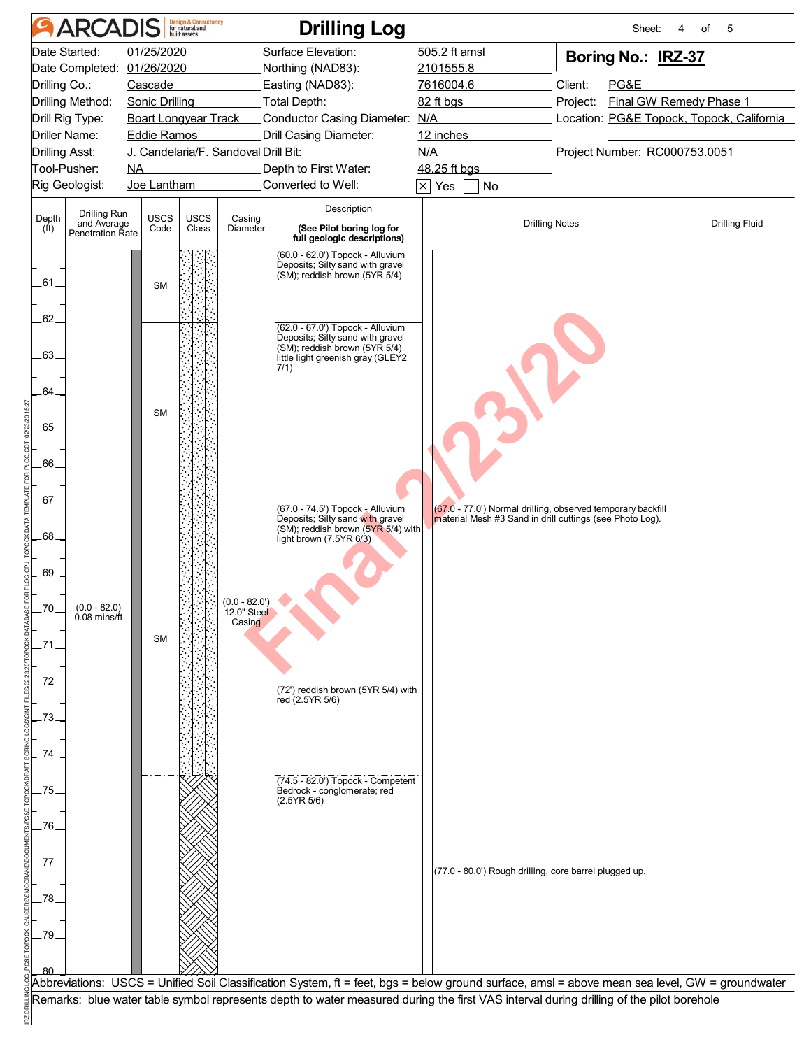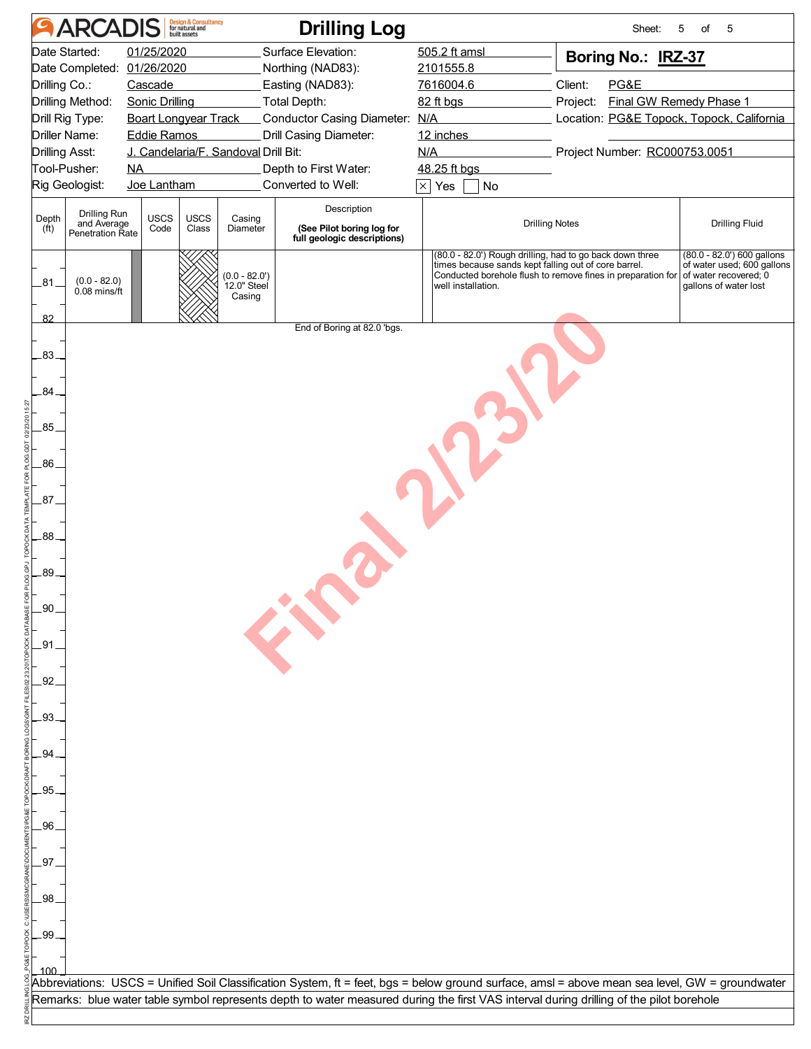|                       | <b>ARCADIS</b>                                  |                                                   | <b>Design &amp; Consultancy</b><br>for natural and |                                          | <b>Drilling Log</b>                                      |                                                                                                                                                                                                       |          | Sheet: | 5<br>of<br>5                                                                                                 |  |
|-----------------------|-------------------------------------------------|---------------------------------------------------|----------------------------------------------------|------------------------------------------|----------------------------------------------------------|-------------------------------------------------------------------------------------------------------------------------------------------------------------------------------------------------------|----------|--------|--------------------------------------------------------------------------------------------------------------|--|
|                       | Date Started:                                   | 01/25/2020                                        |                                                    |                                          | Surface Elevation:                                       | 505.2 ft amsl                                                                                                                                                                                         |          |        | Boring No.: IRZ-37                                                                                           |  |
|                       | Date Completed: 01/26/2020                      |                                                   |                                                    |                                          | Northing (NAD83):                                        | 2101555.8                                                                                                                                                                                             |          |        |                                                                                                              |  |
| Drilling Co.:         |                                                 | Cascade                                           |                                                    |                                          | Easting (NAD83):                                         | 7616004.6                                                                                                                                                                                             | Client:  | PG&E   |                                                                                                              |  |
|                       | Drilling Method:                                | <b>Sonic Drilling</b>                             |                                                    |                                          | Total Depth:                                             | 82 ft bgs                                                                                                                                                                                             | Project: |        | Final GW Remedy Phase 1                                                                                      |  |
|                       | Drill Rig Type:<br>Driller Name:                | <b>Boart Longyear Track</b><br><b>Eddie Ramos</b> |                                                    |                                          | Conductor Casing Diameter: N/A<br>Drill Casing Diameter: | 12 inches                                                                                                                                                                                             |          |        | Location: PG&E Topock, Topock, California                                                                    |  |
| <b>Drilling Asst:</b> |                                                 |                                                   |                                                    | J. Candelaria/F. Sandoval Drill Bit:     |                                                          | N/A                                                                                                                                                                                                   |          |        | Project Number: RC000753.0051                                                                                |  |
|                       | Tool-Pusher:                                    | NA                                                |                                                    |                                          | Depth to First Water:                                    | 48.25 ft bgs                                                                                                                                                                                          |          |        |                                                                                                              |  |
|                       | Rig Geologist:                                  | Joe Lantham                                       |                                                    |                                          | Converted to Well:                                       | $\times$ Yes<br>No                                                                                                                                                                                    |          |        |                                                                                                              |  |
|                       |                                                 |                                                   |                                                    |                                          | Description                                              |                                                                                                                                                                                                       |          |        |                                                                                                              |  |
| Depth<br>(ft)         | Drilling Run<br>and Average<br>Penetration Rate | <b>USCS</b><br>Code                               | <b>USCS</b><br>Class                               | Casing<br>Diameter                       | (See Pilot boring log for<br>full geologic descriptions) | <b>Drilling Notes</b>                                                                                                                                                                                 |          |        | <b>Drilling Fluid</b>                                                                                        |  |
| 281.<br>82            | $(0.0 - 82.0)$<br>$0.08$ mins/ft                |                                                   |                                                    | $(0.0 - 82.0')$<br>12.0" Steel<br>Casing |                                                          | (80.0 - 82.0') Rough drilling, had to go back down three<br>times because sands kept falling out of core barrel.<br>Conducted borehole flush to remove fines in preparation for<br>well installation. |          |        | $(80.0 - 82.0')$ 600 gallons<br>of water used; 600 gallons<br>of water recovered; 0<br>gallons of water lost |  |
|                       |                                                 |                                                   |                                                    |                                          | End of Boring at 82.0 'bgs.                              |                                                                                                                                                                                                       |          |        |                                                                                                              |  |
| $.83-$                |                                                 |                                                   |                                                    |                                          |                                                          |                                                                                                                                                                                                       |          |        |                                                                                                              |  |
| 84.                   |                                                 |                                                   |                                                    |                                          |                                                          |                                                                                                                                                                                                       |          |        |                                                                                                              |  |
| .85.                  |                                                 |                                                   |                                                    |                                          |                                                          |                                                                                                                                                                                                       |          |        |                                                                                                              |  |
| .86                   |                                                 |                                                   |                                                    |                                          |                                                          |                                                                                                                                                                                                       |          |        |                                                                                                              |  |
| $.87 -$               |                                                 |                                                   |                                                    |                                          |                                                          |                                                                                                                                                                                                       |          |        |                                                                                                              |  |
| .88.                  |                                                 |                                                   |                                                    |                                          |                                                          |                                                                                                                                                                                                       |          |        |                                                                                                              |  |
| .89.                  |                                                 |                                                   |                                                    |                                          |                                                          |                                                                                                                                                                                                       |          |        |                                                                                                              |  |
| .90.                  |                                                 |                                                   |                                                    |                                          | EN                                                       |                                                                                                                                                                                                       |          |        |                                                                                                              |  |
| _91                   |                                                 |                                                   |                                                    |                                          |                                                          |                                                                                                                                                                                                       |          |        |                                                                                                              |  |
| $-92$                 |                                                 |                                                   |                                                    |                                          |                                                          |                                                                                                                                                                                                       |          |        |                                                                                                              |  |
| .93.                  |                                                 |                                                   |                                                    |                                          |                                                          |                                                                                                                                                                                                       |          |        |                                                                                                              |  |
| .94                   |                                                 |                                                   |                                                    |                                          |                                                          |                                                                                                                                                                                                       |          |        |                                                                                                              |  |
| .95                   |                                                 |                                                   |                                                    |                                          |                                                          |                                                                                                                                                                                                       |          |        |                                                                                                              |  |
| .96.                  |                                                 |                                                   |                                                    |                                          |                                                          |                                                                                                                                                                                                       |          |        |                                                                                                              |  |
| .97.                  |                                                 |                                                   |                                                    |                                          |                                                          |                                                                                                                                                                                                       |          |        |                                                                                                              |  |
| .98.                  |                                                 |                                                   |                                                    |                                          |                                                          |                                                                                                                                                                                                       |          |        |                                                                                                              |  |
| -99                   |                                                 |                                                   |                                                    |                                          |                                                          |                                                                                                                                                                                                       |          |        |                                                                                                              |  |
|                       |                                                 |                                                   |                                                    |                                          |                                                          |                                                                                                                                                                                                       |          |        |                                                                                                              |  |
|                       |                                                 |                                                   |                                                    |                                          |                                                          | Abbreviations: USCS = Unified Soil Classification System, ft = feet, bgs = below ground surface, amsl = above mean sea level, GW = groundwater                                                        |          |        |                                                                                                              |  |
|                       |                                                 |                                                   |                                                    |                                          |                                                          | Remarks: blue water table symbol represents depth to water measured during the first VAS interval during drilling of the pilot borehole                                                               |          |        |                                                                                                              |  |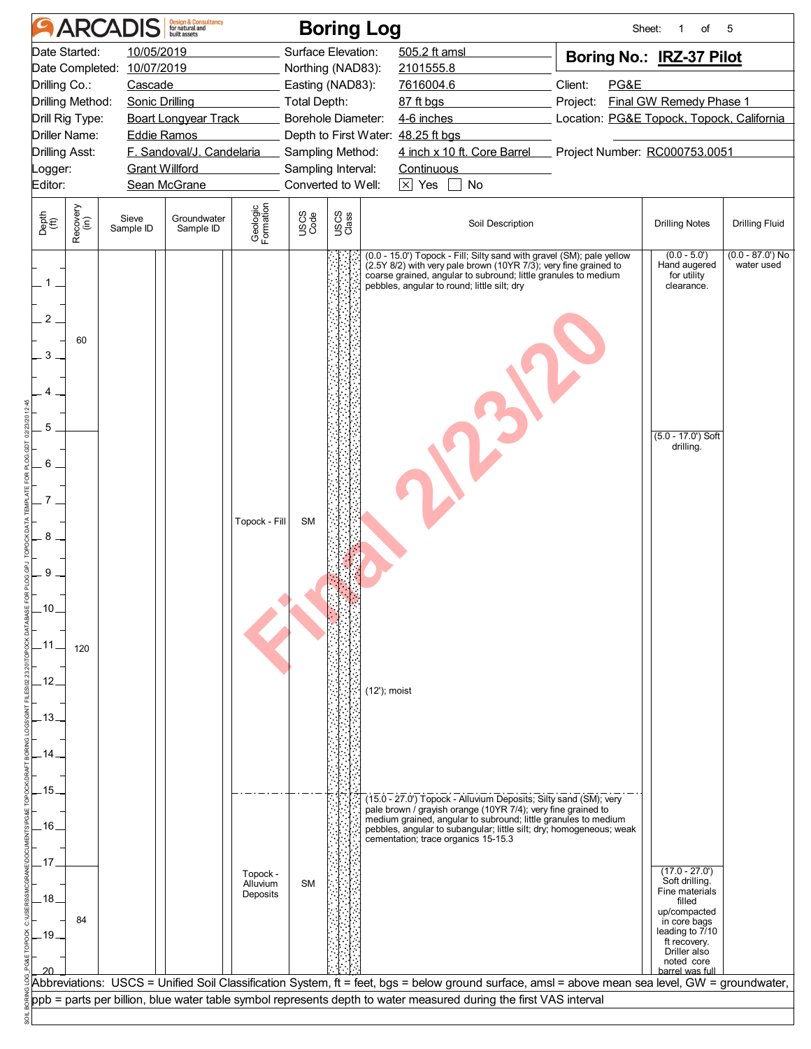|                                                                                                                                                                                         | <b>ARCADIS</b>                                 | <b>Design &amp; Consultancy</b><br>for natural and |                                                   |                        | <b>Boring Log</b>                                                                 |                                                                                                                                                                                                                                                                                                                                                                                                                                                                                                                                                                                                | Sheet:                                                                                               | of                                                                                                                                                     | 5                               |
|-----------------------------------------------------------------------------------------------------------------------------------------------------------------------------------------|------------------------------------------------|----------------------------------------------------|---------------------------------------------------|------------------------|-----------------------------------------------------------------------------------|------------------------------------------------------------------------------------------------------------------------------------------------------------------------------------------------------------------------------------------------------------------------------------------------------------------------------------------------------------------------------------------------------------------------------------------------------------------------------------------------------------------------------------------------------------------------------------------------|------------------------------------------------------------------------------------------------------|--------------------------------------------------------------------------------------------------------------------------------------------------------|---------------------------------|
| Date Started:<br>Date Completed: 10/07/2019<br>Drilling Co.:<br>Drilling Method:<br>Drill Rig Type:                                                                                     | 10/05/2019<br>Cascade<br><b>Sonic Drilling</b> |                                                    |                                                   | <b>Total Depth:</b>    | Surface Elevation:<br>Northing (NAD83):<br>Easting (NAD83):<br>Borehole Diameter: | 505.2 ft amsl<br>2101555.8<br>7616004.6<br>87 ft bgs<br>4-6 inches                                                                                                                                                                                                                                                                                                                                                                                                                                                                                                                             | Boring No.: IRZ-37 Pilot<br>Client:<br>PG&E<br>Project:<br>Location: PG&E Topock, Topock, California | <b>Final GW Remedy Phase 1</b>                                                                                                                         |                                 |
| <b>Boart Longyear Track</b><br>Driller Name:<br><b>Eddie Ramos</b><br>F. Sandoval/J. Candelaria<br><b>Drilling Asst:</b><br><b>Grant Willford</b><br>Logger:<br>Editor:<br>Sean McGrane |                                                |                                                    |                                                   |                        | Sampling Method:<br>Sampling Interval:<br>Converted to Well:                      | Depth to First Water: 48.25 ft bgs<br>4 inch x 10 ft. Core Barrel<br>Continuous<br>$\boxtimes$ Yes<br>No                                                                                                                                                                                                                                                                                                                                                                                                                                                                                       |                                                                                                      | Project Number: RC000753.0051                                                                                                                          |                                 |
| Recovery<br>(in)<br>Depth<br>(ft)                                                                                                                                                       | Sieve<br>Sample ID                             | Groundwater<br>Sample ID                           | Geologic<br>Formation                             | USCS<br>Code           | USCS<br>Class                                                                     | Soil Description                                                                                                                                                                                                                                                                                                                                                                                                                                                                                                                                                                               |                                                                                                      | <b>Drilling Notes</b>                                                                                                                                  | Drilling Fluid                  |
| 2<br>60<br>3<br>5<br>6<br>8<br>9<br>10<br>120<br>.13<br>.15<br>.16<br>18                                                                                                                |                                                |                                                    | Topock - Fill<br>Topock -<br>Alluvium<br>Deposits | <b>SM</b><br><b>SM</b> |                                                                                   | (0.0 - 15.0') Topock - Fill; Silty sand with gravel (SM); pale yellow<br>(2.5Y 8/2) with very pale brown (10YR 7/3); very fine grained to<br>coarse grained, angular to subround; little granules to medium<br>pebbles, angular to round; little silt; dry<br>(12'); moist<br>(15.0 - 27.0') Topock - Alluvium Deposits; Silty sand (SM); very<br>pale brown / grayish orange (10YR 7/4); very fine grained to<br>medium grained, angular to subround; little granules to medium<br>pebbles, angular to subangular; little silt; dry; homogeneous; weak<br>cementation; trace organics 15-15.3 |                                                                                                      | $(0.0 - 5.0')$<br>Hand augered<br>for utility<br>clearance.<br>$(5.0 - 17.0)$ Soft<br>drilling.<br>$(17.0 - 27.0)$<br>Soft drilling.<br>Fine materials | $(0.0 - 87.0)$ No<br>water used |
| 84<br>.19                                                                                                                                                                               |                                                |                                                    |                                                   |                        |                                                                                   | Abbreviations:  USCS = Unified Soil Classification System, ft = feet, bgs = below ground surface, amsl = above mean sea level, GW = groundwater,<br>ppb = parts per billion, blue water table symbol represents depth to water measured during the first VAS interval                                                                                                                                                                                                                                                                                                                          |                                                                                                      | filled<br>up/compacted<br>in core bags<br>leading to 7/10<br>ft recovery.<br>Driller also<br>noted core<br>barrel was full                             |                                 |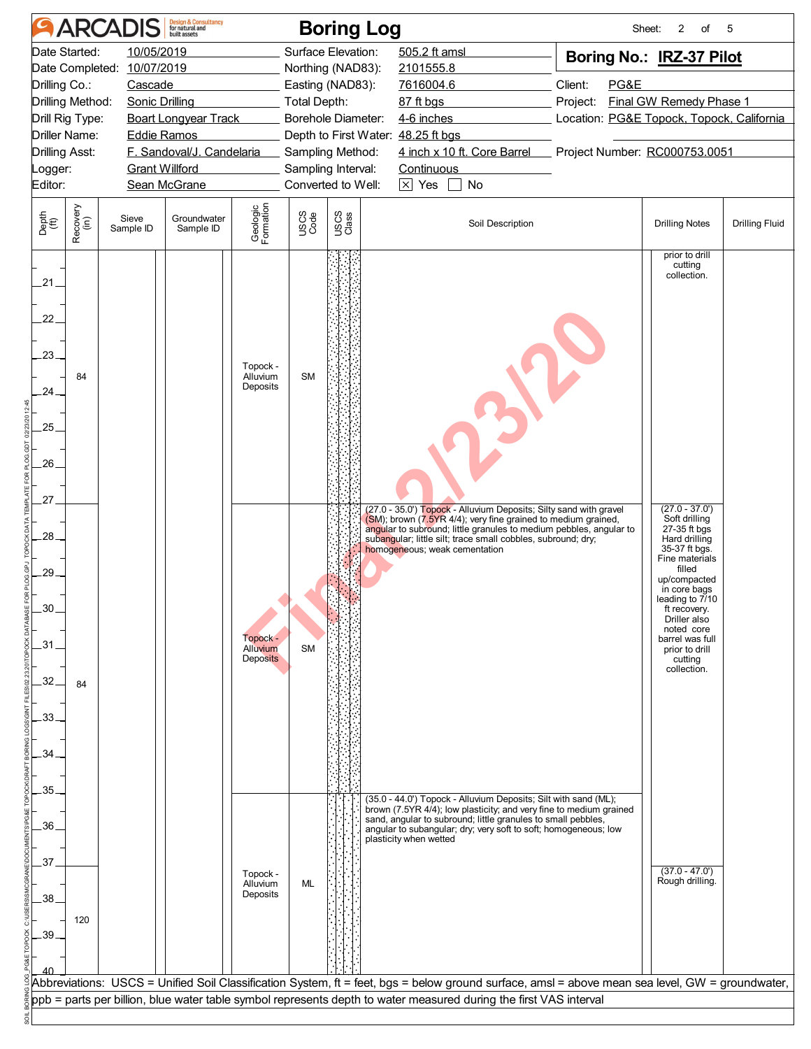|                                                       |                                                                                                                                                                                                                                                                                                                                          | <b>ARCADIS</b>     | <b>Design &amp; Consultancy</b><br>for natural and |                                         |              | <b>Boring Log</b>                                                                                                                                                 |                                                                                                                                                                                                                                                                                                                                                                                                                                                       | Sheet:                                                                                                                                | 2<br>of                                                                                                                                                                                                                                                     | 5                     |
|-------------------------------------------------------|------------------------------------------------------------------------------------------------------------------------------------------------------------------------------------------------------------------------------------------------------------------------------------------------------------------------------------------|--------------------|----------------------------------------------------|-----------------------------------------|--------------|-------------------------------------------------------------------------------------------------------------------------------------------------------------------|-------------------------------------------------------------------------------------------------------------------------------------------------------------------------------------------------------------------------------------------------------------------------------------------------------------------------------------------------------------------------------------------------------------------------------------------------------|---------------------------------------------------------------------------------------------------------------------------------------|-------------------------------------------------------------------------------------------------------------------------------------------------------------------------------------------------------------------------------------------------------------|-----------------------|
| Editor:                                               | Date Started:<br>10/05/2019<br>10/07/2019<br>Date Completed:<br>Drilling Co.:<br>Cascade<br>Drilling Method:<br>Sonic Drilling<br><b>Boart Longyear Track</b><br>Drill Rig Type:<br><b>Driller Name:</b><br><b>Eddie Ramos</b><br>F. Sandoval/J. Candelaria<br><b>Drilling Asst:</b><br><b>Grant Willford</b><br>Logger:<br>Sean McGrane |                    |                                                    |                                         |              | Surface Elevation:<br>Northing (NAD83):<br>Easting (NAD83):<br>Total Depth:<br>Borehole Diameter:<br>Sampling Method:<br>Sampling Interval:<br>Converted to Well: | 505.2 ft amsl<br>2101555.8<br>7616004.6<br>87 ft bgs<br>4-6 inches<br>Depth to First Water: 48.25 ft bgs<br>4 inch x 10 ft. Core Barrel<br><b>Continuous</b><br>$\overline{\times}$ Yes<br>$\Box$<br>No                                                                                                                                                                                                                                               | Boring No.: IRZ-37 Pilot<br>Client:<br>PG&E<br>Project:<br>Location: PG&E Topock, Topock, California<br>Project Number: RC000753.0051 | Final GW Remedy Phase 1                                                                                                                                                                                                                                     |                       |
| Depth<br>(ft)                                         | Recovery<br>(in)                                                                                                                                                                                                                                                                                                                         | Sieve<br>Sample ID | Groundwater<br>Sample ID                           | Geologic<br>Formation                   | USCS<br>Code | USCS<br>Class                                                                                                                                                     | Soil Description                                                                                                                                                                                                                                                                                                                                                                                                                                      |                                                                                                                                       | <b>Drilling Notes</b>                                                                                                                                                                                                                                       | <b>Drilling Fluid</b> |
| .21<br>22 <sub>1</sub><br>23.<br>24<br>25<br>26<br>27 | 84                                                                                                                                                                                                                                                                                                                                       |                    |                                                    | Topock -<br>Alluvium<br>Deposits        | <b>SM</b>    |                                                                                                                                                                   | (27.0 - 35.0') Topock - Alluvium Deposits; Silty sand with gravel                                                                                                                                                                                                                                                                                                                                                                                     |                                                                                                                                       | prior to drill<br>cutting<br>collection.<br>$(27.0 - 37.0')$                                                                                                                                                                                                |                       |
| 28.<br>29<br>30.<br>31<br>32<br>33                    | 84                                                                                                                                                                                                                                                                                                                                       |                    |                                                    | Topock -<br>Alluvium<br><b>Deposits</b> | <b>SM</b>    |                                                                                                                                                                   | (SM); brown (7.5YR 4/4); very fine grained to medium grained,<br>angular to subround; little granules to medium pebbles, angular to<br>subangular; little silt; trace small cobbles, subround; dry;<br>homogeneous; weak cementation                                                                                                                                                                                                                  |                                                                                                                                       | Soft drilling<br>27-35 ft bgs<br>Hard drilling<br>35-37 ft bgs.<br>Fine materials<br>filled<br>up/compacted<br>in core bags<br>leading to 7/10<br>ft recovery.<br>Driller also<br>noted core<br>barrel was full<br>prior to drill<br>cutting<br>collection. |                       |
| 35<br>.36.<br>.37<br>38<br>.39.                       | 120                                                                                                                                                                                                                                                                                                                                      |                    |                                                    | Topock -<br>Alluvium<br>Deposits        | <b>ML</b>    |                                                                                                                                                                   | (35.0 - 44.0') Topock - Alluvium Deposits; Silt with sand (ML);<br>brown (7.5YR 4/4); low plasticity; and very fine to medium grained<br>sand, angular to subround; little granules to small pebbles,<br>angular to subangular; dry; very soft to soft; homogeneous; low<br>plasticity when wetted<br>Abbreviations: USCS = Unified Soil Classification System, ft = feet, bgs = below ground surface, amsl = above mean sea level, GW = groundwater, |                                                                                                                                       | $(37.0 - 47.0')$<br>Rough drilling.                                                                                                                                                                                                                         |                       |
|                                                       |                                                                                                                                                                                                                                                                                                                                          |                    |                                                    |                                         |              |                                                                                                                                                                   | ppb = parts per billion, blue water table symbol represents depth to water measured during the first VAS interval                                                                                                                                                                                                                                                                                                                                     |                                                                                                                                       |                                                                                                                                                                                                                                                             |                       |
|                                                       |                                                                                                                                                                                                                                                                                                                                          |                    |                                                    |                                         |              |                                                                                                                                                                   |                                                                                                                                                                                                                                                                                                                                                                                                                                                       |                                                                                                                                       |                                                                                                                                                                                                                                                             |                       |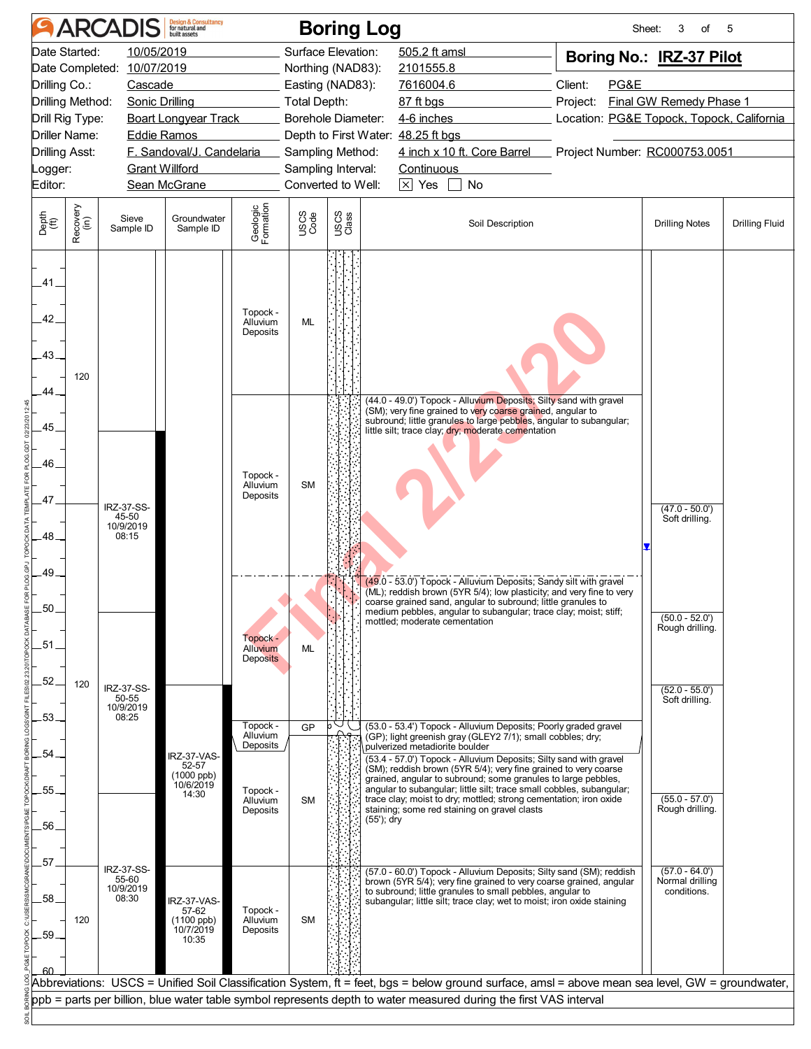|                         |                                                                                                                                                                                                                                                                                                                                          | <b>ARCADIS</b>                            | <b>Design &amp; Consultancy</b><br>for natural and               |                                                          |                 | <b>Boring Log</b>                                                                                                                                                 |                                                                                                                                                                                                                                                                                                                                                                                                                                                                                                                                                                       | Sheet:                                                                                   | 3<br>of                                                                     | 5                     |
|-------------------------|------------------------------------------------------------------------------------------------------------------------------------------------------------------------------------------------------------------------------------------------------------------------------------------------------------------------------------------|-------------------------------------------|------------------------------------------------------------------|----------------------------------------------------------|-----------------|-------------------------------------------------------------------------------------------------------------------------------------------------------------------|-----------------------------------------------------------------------------------------------------------------------------------------------------------------------------------------------------------------------------------------------------------------------------------------------------------------------------------------------------------------------------------------------------------------------------------------------------------------------------------------------------------------------------------------------------------------------|------------------------------------------------------------------------------------------|-----------------------------------------------------------------------------|-----------------------|
| Editor:                 | Date Started:<br>10/05/2019<br>10/07/2019<br>Date Completed:<br>Drilling Co.:<br>Cascade<br>Drilling Method:<br><b>Sonic Drilling</b><br>Drill Rig Type:<br><b>Boart Longyear Track</b><br>Driller Name:<br><b>Eddie Ramos</b><br>F. Sandoval/J. Candelaria<br><b>Drilling Asst:</b><br><b>Grant Willford</b><br>Logger:<br>Sean McGrane |                                           |                                                                  |                                                          |                 | Surface Elevation:<br>Northing (NAD83):<br>Easting (NAD83):<br>Total Depth:<br>Borehole Diameter:<br>Sampling Method:<br>Sampling Interval:<br>Converted to Well: | 505.2 ft amsl<br>2101555.8<br>7616004.6<br>87 ft bgs<br>4-6 inches<br>Depth to First Water: 48.25 ft bgs<br>4 inch x 10 ft. Core Barrel<br><b>Continuous</b><br>$\times$ Yes<br>$\Box$ No                                                                                                                                                                                                                                                                                                                                                                             | Boring No.: IRZ-37 Pilot<br>Client:<br>PG&E<br>Project:<br>Project Number: RC000753.0051 | <b>Final GW Remedy Phase 1</b><br>Location: PG&E Topock, Topock, California |                       |
| Depth<br>(ft)           | Recovery<br>(in)                                                                                                                                                                                                                                                                                                                         | Sieve<br>Sample ID                        | Groundwater<br>Sample ID                                         | Geologic<br>Formation                                    | USCS<br>Code    | USCS<br>Class                                                                                                                                                     | Soil Description                                                                                                                                                                                                                                                                                                                                                                                                                                                                                                                                                      |                                                                                          | <b>Drilling Notes</b>                                                       | <b>Drilling Fluid</b> |
| .41<br>42.<br>.43.      | 120                                                                                                                                                                                                                                                                                                                                      |                                           |                                                                  | Topock -<br>Alluvium<br>Deposits                         | <b>ML</b>       |                                                                                                                                                                   |                                                                                                                                                                                                                                                                                                                                                                                                                                                                                                                                                                       |                                                                                          |                                                                             |                       |
| 44.<br>45.<br>46.<br>47 |                                                                                                                                                                                                                                                                                                                                          | <b>IRZ-37-SS-</b><br>45-50<br>10/9/2019   |                                                                  | Topock -<br>Alluvium<br>Deposits                         | <b>SM</b>       |                                                                                                                                                                   | (44.0 - 49.0') Topock - Alluvium Deposits; Silty sand with gravel<br>(SM); very fine grained to very coarse grained, angular to<br>subround; little granules to large pebbles, angular to subangular;<br>little silt; trace clay; dry; moderate cementation                                                                                                                                                                                                                                                                                                           |                                                                                          | $(47.0 - 50.0')$<br>Soft drilling.                                          |                       |
| 48.<br>.49<br>.50       |                                                                                                                                                                                                                                                                                                                                          | 08:15                                     |                                                                  | Topock -                                                 |                 |                                                                                                                                                                   | (49.0 - 53.0') Topock - Alluvium Deposits; Sandy silt with gravel<br>$(ML)$ ; reddish brown (5YR 5/4); low plasticity; and very fine to very<br>coarse grained sand, angular to subround; little granules to<br>medium pebbles, angular to subangular; trace clay; moist; stiff;<br>mottled; moderate cementation                                                                                                                                                                                                                                                     |                                                                                          | $(50.0 - 52.0')$<br>Rough drilling.                                         |                       |
| .51<br>52.<br>53.       | 120                                                                                                                                                                                                                                                                                                                                      | IRZ-37-SS-<br>50-55<br>10/9/2019<br>08:25 |                                                                  | Alluvium<br><b>Deposits</b><br>Topock -                  | ML              |                                                                                                                                                                   |                                                                                                                                                                                                                                                                                                                                                                                                                                                                                                                                                                       |                                                                                          | $(52.0 - 55.0')$<br>Soft drilling.                                          |                       |
| .54<br>55.<br>56.       |                                                                                                                                                                                                                                                                                                                                          |                                           | <b>RZ-37-VAS-</b><br>52-57<br>$(1000$ ppb)<br>10/6/2019<br>14:30 | Alluvium<br>Deposits<br>Topock -<br>Alluvium<br>Deposits | GP<br><b>SM</b> | (55'); dry                                                                                                                                                        | (53.0 - 53.4') Topock - Alluvium Deposits; Poorly graded gravel<br>(GP); light greenish gray (GLEY2 7/1); small cobbles; dry;<br>pulverized metadiorite boulder<br>(53.4 - 57.0') Topock - Alluvium Deposits; Silty sand with gravel<br>(SM); reddish brown (5YR 5/4); very fine grained to very coarse<br>grained, angular to subround; some granules to large pebbles,<br>angular to subangular; little silt; trace small cobbles, subangular;<br>trace clay; moist to dry; mottled; strong cementation; iron oxide<br>staining; some red staining on gravel clasts |                                                                                          | $(55.0 - 57.0')$<br>Rough drilling.                                         |                       |
| 57<br>.58.<br>.59.      | 120                                                                                                                                                                                                                                                                                                                                      | IRZ-37-SS-<br>55-60<br>10/9/2019<br>08:30 | IRZ-37-VAS-<br>57-62<br>$(1100$ ppb)<br>10/7/2019<br>10:35       | Topock -<br>Alluvium<br>Deposits                         | <b>SM</b>       |                                                                                                                                                                   | (57.0 - 60.0') Topock - Alluvium Deposits; Silty sand (SM); reddish<br>brown (5YR 5/4); very fine grained to very coarse grained, angular<br>to subround; little granules to small pebbles, angular to<br>subangular; little silt; trace clay; wet to moist; iron oxide staining                                                                                                                                                                                                                                                                                      |                                                                                          | $(57.0 - 64.0')$<br>Normal drilling<br>conditions.                          |                       |
|                         |                                                                                                                                                                                                                                                                                                                                          |                                           |                                                                  |                                                          |                 |                                                                                                                                                                   | Abbreviations: USCS = Unified Soil Classification System, ft = feet, bgs = below ground surface, amsl = above mean sea level, GW = groundwater,<br>ppb = parts per billion, blue water table symbol represents depth to water measured during the first VAS interval                                                                                                                                                                                                                                                                                                  |                                                                                          |                                                                             |                       |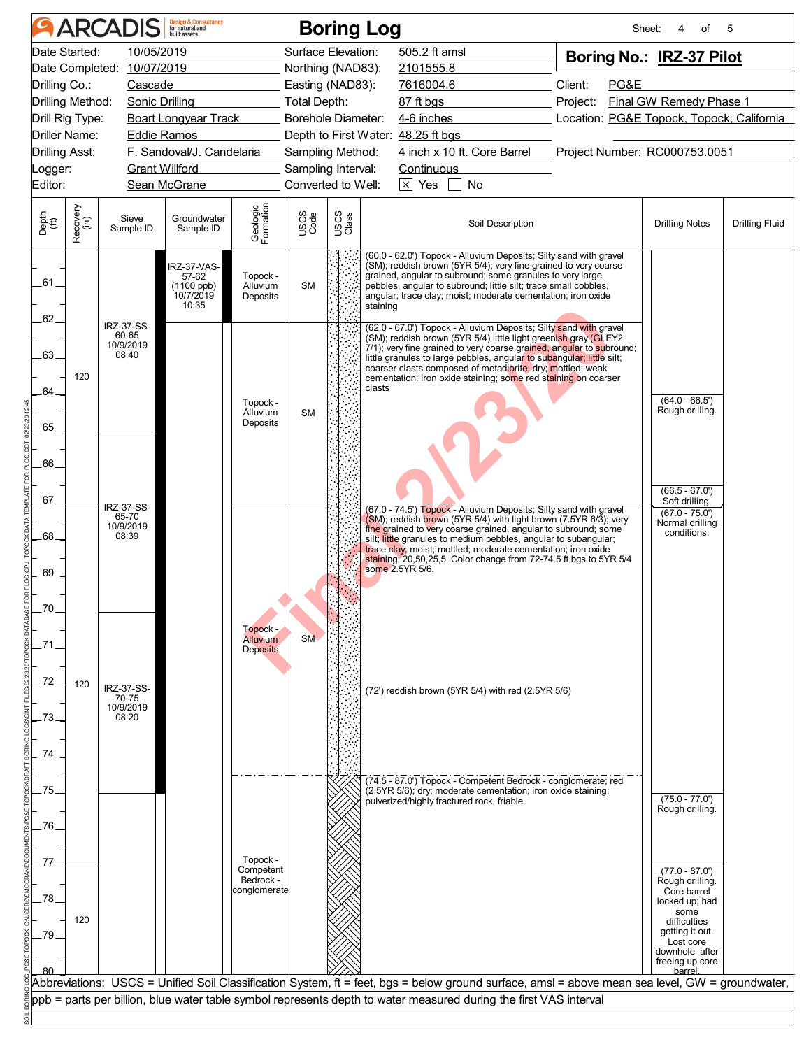| <b>ARCADIS</b>                                                                                                                                                                                                                                                   | <b>Design &amp; Consultancy</b><br>for natural and                                           | <b>Boring Log</b>                                                                                                                                                        |                                                                                                                                                                                                                                                                                                                                                                                                                       | Sheet:                      | οf                                                                                                                                             | 5                     |
|------------------------------------------------------------------------------------------------------------------------------------------------------------------------------------------------------------------------------------------------------------------|----------------------------------------------------------------------------------------------|--------------------------------------------------------------------------------------------------------------------------------------------------------------------------|-----------------------------------------------------------------------------------------------------------------------------------------------------------------------------------------------------------------------------------------------------------------------------------------------------------------------------------------------------------------------------------------------------------------------|-----------------------------|------------------------------------------------------------------------------------------------------------------------------------------------|-----------------------|
| Date Started:<br>10/05/2019<br>10/07/2019<br>Date Completed:<br>Drilling Co.:<br>Cascade<br>Drilling Method:<br>Sonic Drilling<br>Drill Rig Type:<br><b>Driller Name:</b><br>Eddie Ramos<br><b>Drilling Asst:</b><br><b>Grant Willford</b><br>_ogger:<br>Editor: | <b>Boart Longyear Track</b><br>F. Sandoval/J. Candelaria<br>Sean McGrane                     | Surface Elevation:<br>Northing (NAD83):<br>Easting (NAD83):<br><b>Total Depth:</b><br>Borehole Diameter:<br>Sampling Method:<br>Sampling Interval:<br>Converted to Well: | 505.2 ft amsl<br>2101555.8<br>7616004.6<br>87 ft bgs<br>4-6 inches<br>Depth to First Water: 48.25 ft bgs<br>4 inch x 10 ft. Core Barrel Project Number: RC000753.0051<br><b>Continuous</b><br>$\boxed{\times}$ Yes $\boxed{\phantom{0}}$ No                                                                                                                                                                           | Client:<br>PG&E<br>Project: | Boring No.: IRZ-37 Pilot<br><b>Final GW Remedy Phase 1</b><br>Location: PG&E Topock, Topock, California                                        |                       |
| Recovery<br>(in)<br>Depth<br>(ft)<br>Sieve<br>Sample ID                                                                                                                                                                                                          | Geologic<br>Formation<br>Groundwater<br>Sample ID                                            | USCS<br>Class<br>USCS<br>Code                                                                                                                                            | Soil Description                                                                                                                                                                                                                                                                                                                                                                                                      |                             | <b>Drilling Notes</b>                                                                                                                          | <b>Drilling Fluid</b> |
| .61.<br>62.<br>IRZ-37-SS-                                                                                                                                                                                                                                        | IRZ-37-VAS-<br>Topock -<br>57-62<br>(1100 ppb)<br>Alluvium<br>10/7/2019<br>Deposits<br>10:35 | <b>SM</b>                                                                                                                                                                | (60.0 - 62.0') Topock - Alluvium Deposits; Silty sand with gravel<br>(SM); reddish brown (5YR 5/4); very fine grained to very coarse<br>grained, angular to subround; some granules to very large<br>pebbles, angular to subround; little silt; trace small cobbles,<br>angular; trace clay; moist; moderate cementation; iron oxide<br>staining<br>(62.0 - 67.0') Topock - Alluvium Deposits; Silty sand with gravel |                             |                                                                                                                                                |                       |
| 60-65<br>10/9/2019<br>$-63-$<br>08:40<br>120<br>64.                                                                                                                                                                                                              |                                                                                              |                                                                                                                                                                          | (SM); reddish brown (5YR 5/4) little light greenish gray (GLEY2<br>$7/1$ ; very fine grained to very coarse grained, angular to subround;<br>little granules to large pebbles, angular to subangular; little silt;<br>coarser clasts composed of metadiorite; dry; mottled; weak<br>cementation; iron oxide staining; some red staining on coarser<br>clasts                                                          |                             |                                                                                                                                                |                       |
| .65                                                                                                                                                                                                                                                              | Topock -<br>Alluvium<br>Deposits                                                             | <b>SM</b>                                                                                                                                                                |                                                                                                                                                                                                                                                                                                                                                                                                                       |                             | $(64.0 - 66.5')$<br>Rough drilling.                                                                                                            |                       |
| 66<br>.67<br>IRZ-37-SS-<br>65-70<br>10/9/2019                                                                                                                                                                                                                    |                                                                                              |                                                                                                                                                                          | (67.0 - 74.5') Topock - Alluvium Deposits; Silty sand with gravel<br>(SM); reddish brown (5YR 5/4) with light brown (7.5YR 6/3); very                                                                                                                                                                                                                                                                                 |                             | $(66.5 - 67.0')$<br>Soft drilling.<br>$(67.0 - 75.0')$<br>Normal drilling                                                                      |                       |
| .68.<br>08:39<br>69<br>70                                                                                                                                                                                                                                        |                                                                                              |                                                                                                                                                                          | fine grained to very coarse grained, angular to subround; some<br>silt; little granules to medium pebbles, angular to subangular;<br>trace clay; moist; mottled; moderate cementation; iron oxide<br>staining; 20,50,25,5. Color change from 72-74.5 ft bgs to 5YR 5/4<br>some 2.5YR 5/6.                                                                                                                             |                             | conditions.                                                                                                                                    |                       |
| 72<br>120<br>IRZ-37-SS-                                                                                                                                                                                                                                          | Topock -<br><b>Alluvium</b><br><b>Deposits</b>                                               | <b>SM</b>                                                                                                                                                                | (72') reddish brown (5YR 5/4) with red (2.5YR 5/6)                                                                                                                                                                                                                                                                                                                                                                    |                             |                                                                                                                                                |                       |
| 70-75<br>10/9/2019<br>08:20<br>73<br>74                                                                                                                                                                                                                          |                                                                                              |                                                                                                                                                                          |                                                                                                                                                                                                                                                                                                                                                                                                                       |                             |                                                                                                                                                |                       |
| .75<br>76                                                                                                                                                                                                                                                        |                                                                                              |                                                                                                                                                                          | (74.5 - 87.0') Topock - Competent Bedrock - conglomerate; red<br>(2.5YR 5/6); dry; moderate cementation; iron oxide staining;<br>pulverized/highly fractured rock, friable                                                                                                                                                                                                                                            |                             | $(75.0 - 77.0)$<br>Rough drilling.                                                                                                             |                       |
| 78<br>120<br>.79                                                                                                                                                                                                                                                 | Topock -<br>Competent<br>Bedrock -<br>conglomerate                                           |                                                                                                                                                                          |                                                                                                                                                                                                                                                                                                                                                                                                                       |                             | $(77.0 - 87.0')$<br>Rough drilling.<br>Core barrel<br>locked up; had<br>some<br>difficulties<br>getting it out.<br>Lost core<br>downhole after |                       |
|                                                                                                                                                                                                                                                                  |                                                                                              |                                                                                                                                                                          | Abbreviations:  USCS = Unified Soil Classification System, ft = feet, bgs = below ground surface, amsl = above mean sea level, GW = groundwater,<br>ppb = parts per billion, blue water table symbol represents depth to water measured during the first VAS interval                                                                                                                                                 |                             | freeing up core<br>barrel                                                                                                                      |                       |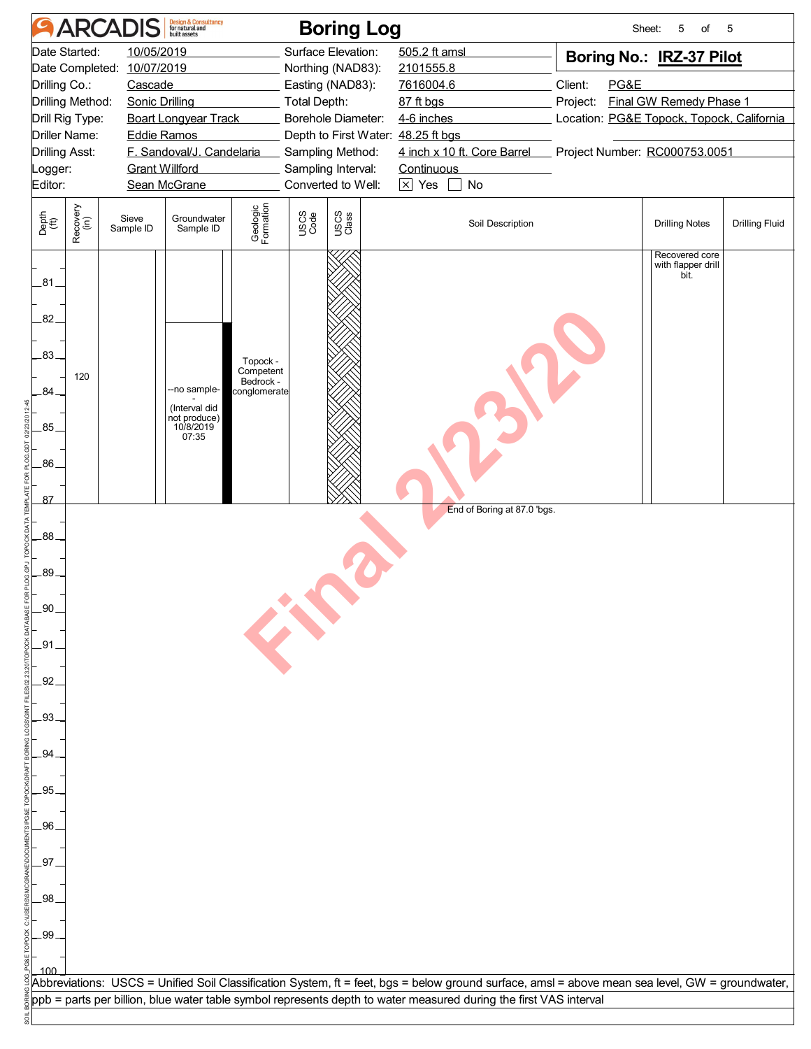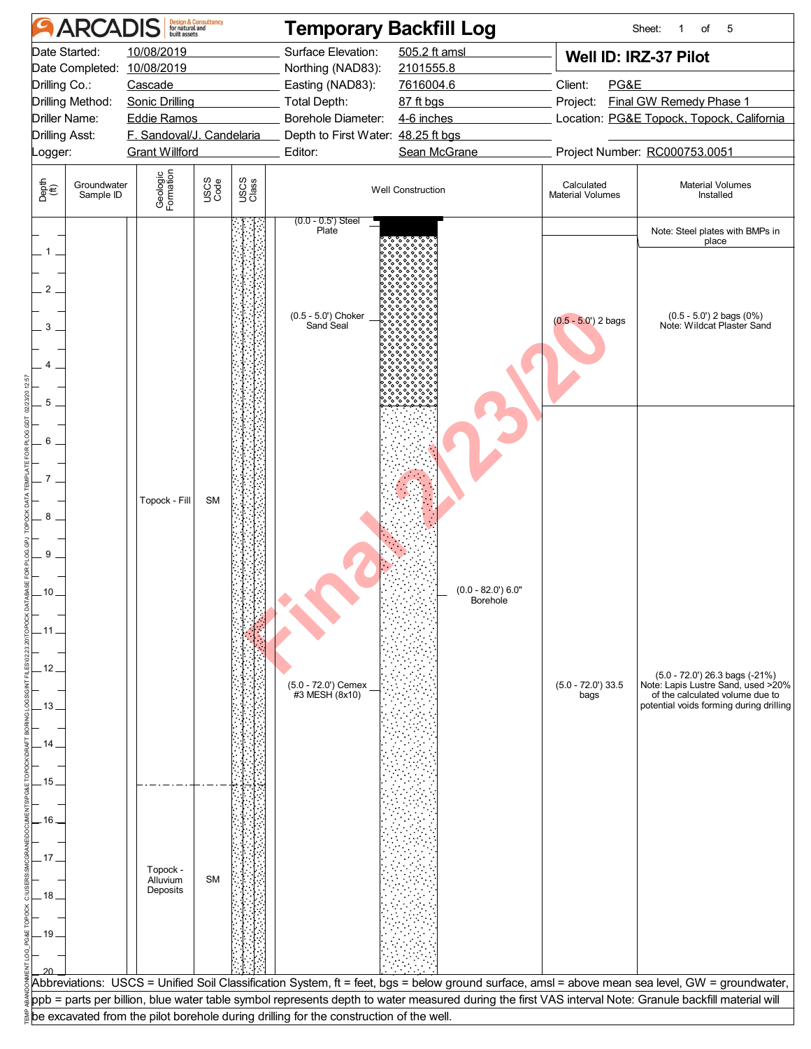|                                                            | <b>ARCADIS</b>                                                                                                                                                                                                                  |                                                | <b>Design &amp; Consultancy</b><br>for natural and<br>built assets                                                                                 |                                                                                    | <b>Temporary Backfill Log</b>                                                          |                                                                                                                                                        |                             | Sheet:<br>of<br>5                                                                                                                                  |
|------------------------------------------------------------|---------------------------------------------------------------------------------------------------------------------------------------------------------------------------------------------------------------------------------|------------------------------------------------|----------------------------------------------------------------------------------------------------------------------------------------------------|------------------------------------------------------------------------------------|----------------------------------------------------------------------------------------|--------------------------------------------------------------------------------------------------------------------------------------------------------|-----------------------------|----------------------------------------------------------------------------------------------------------------------------------------------------|
| Logger:                                                    | Date Started:<br>10/08/2019<br>Date Completed: 10/08/2019<br>Drilling Co.:<br>Cascade<br>Drilling Method:<br><b>Sonic Drilling</b><br>Driller Name:<br><b>Eddie Ramos</b><br><b>Drilling Asst:</b><br>F. Sandoval/J. Candelaria |                                                | Surface Elevation:<br>Northing (NAD83):<br>Easting (NAD83):<br>Total Depth:<br>Borehole Diameter:<br>Depth to First Water: 48.25 ft bgs<br>Editor: | 505.2 ft amsl<br>2101555.8<br>7616004.6<br>87 ft bgs<br>4-6 inches<br>Sean McGrane | PG&E<br>Client:<br>Project:                                                            | Well ID: IRZ-37 Pilot<br>Final GW Remedy Phase 1<br>Location: PG&E Topock, Topock, California<br>Project Number: RC000753.0051                         |                             |                                                                                                                                                    |
| Depth<br>$\widetilde{f}(\widetilde{f})$                    | Groundwater                                                                                                                                                                                                                     | <b>Grant Willford</b><br>Geologic<br>Formation | USCS<br>Code                                                                                                                                       | USCS<br>Class                                                                      |                                                                                        | <b>Well Construction</b>                                                                                                                               | Calculated                  | <b>Material Volumes</b>                                                                                                                            |
|                                                            | Sample ID                                                                                                                                                                                                                       |                                                |                                                                                                                                                    |                                                                                    | $(0.0 - 0.5)$ Steel                                                                    |                                                                                                                                                        | <b>Material Volumes</b>     | Installed                                                                                                                                          |
| 1<br>2<br>3<br>5                                           |                                                                                                                                                                                                                                 |                                                |                                                                                                                                                    |                                                                                    | Plate<br>(0.5 - 5.0') Choker<br>Sand Seal                                              |                                                                                                                                                        | $(0.5 - 5.0')$ 2 bags       | Note: Steel plates with BMPs in<br>place<br>(0.5 - 5.0') 2 bags (0%)<br>Note: Wildcat Plaster Sand                                                 |
| 6<br>8<br>9<br>10 <sub>1</sub><br>. 11.<br>12<br>.13<br>14 |                                                                                                                                                                                                                                 | Topock - Fill                                  | <b>SM</b>                                                                                                                                          |                                                                                    | (5.0 - 72.0') Cemex<br>#3 MESH (8x10)                                                  | $(0.0 - 82.0)$ 6.0"<br>Borehole                                                                                                                        | $(5.0 - 72.0)$ 33.5<br>bags | (5.0 - 72.0') 26.3 bags (-21%)<br>Note: Lapis Lustre Sand, used >20%<br>of the calculated volume due to<br>potential voids forming during drilling |
| .15.<br>.16.<br>.17 .<br>.18<br>.19                        |                                                                                                                                                                                                                                 | Topock -<br>Alluvium<br>Deposits               | <b>SM</b>                                                                                                                                          |                                                                                    |                                                                                        |                                                                                                                                                        |                             | Abbreviations: USCS = Unified Soil Classification System, ft = feet, bgs = below ground surface, amsl = above mean sea level, GW = groundwater,    |
|                                                            |                                                                                                                                                                                                                                 |                                                |                                                                                                                                                    |                                                                                    |                                                                                        | ppb = parts per billion, blue water table symbol represents depth to water measured during the first VAS interval Note: Granule backfill material will |                             |                                                                                                                                                    |
|                                                            |                                                                                                                                                                                                                                 |                                                |                                                                                                                                                    |                                                                                    | be excavated from the pilot borehole during drilling for the construction of the well. |                                                                                                                                                        |                             |                                                                                                                                                    |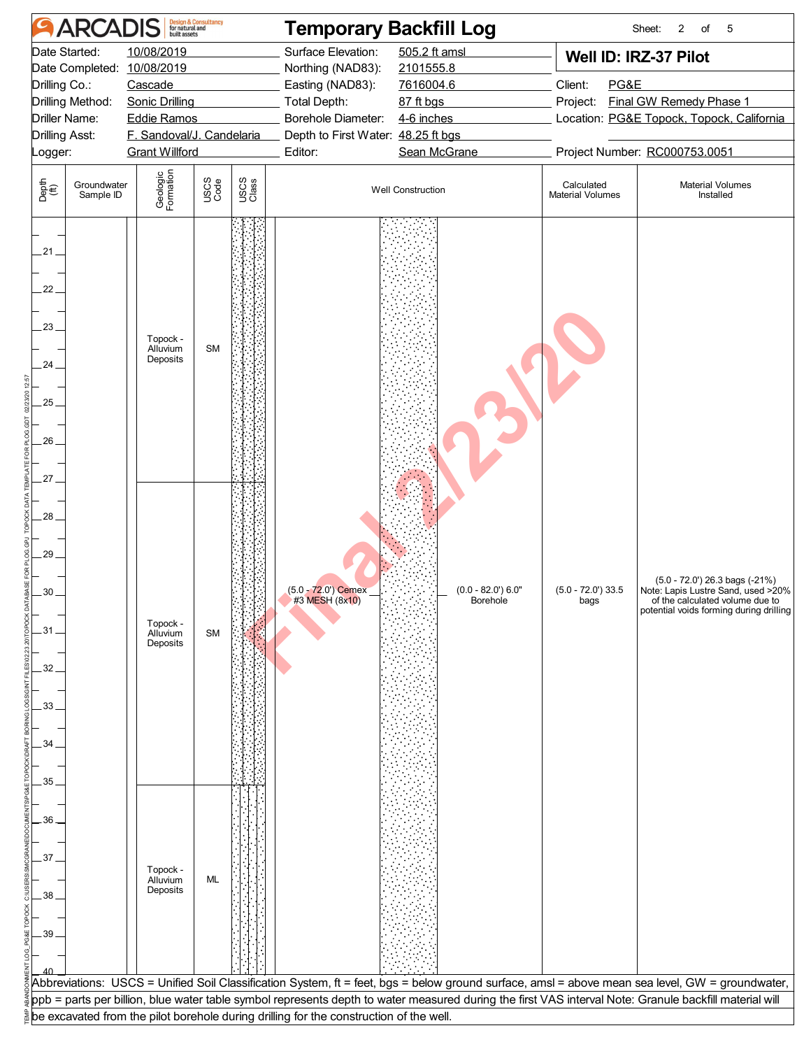|                                                                                                         | <b>ARCADIS</b>                                                                                                                                    | <b>Design &amp; Consultancy</b><br>for natural and<br>built assets |                                                                                                              | <b>Temporary Backfill Log</b>                                                                                            |                                                                                                                                                        |                                                                                                                                               | Sheet:<br>2<br>of<br>-5                                                                                                                            |
|---------------------------------------------------------------------------------------------------------|---------------------------------------------------------------------------------------------------------------------------------------------------|--------------------------------------------------------------------|--------------------------------------------------------------------------------------------------------------|--------------------------------------------------------------------------------------------------------------------------|--------------------------------------------------------------------------------------------------------------------------------------------------------|-----------------------------------------------------------------------------------------------------------------------------------------------|----------------------------------------------------------------------------------------------------------------------------------------------------|
| Date Started:<br>Drilling Co.:<br>Drilling Method:<br>Driller Name:<br><b>Drilling Asst:</b><br>Logger: | 10/08/2019<br>Date Completed: 10/08/2019<br>Cascade<br>Sonic Drilling<br><b>Eddie Ramos</b><br>F. Sandoval/J. Candelaria<br><b>Grant Willford</b> |                                                                    | Surface Elevation:<br>Northing (NAD83):<br>Easting (NAD83):<br>Total Depth:<br>Borehole Diameter:<br>Editor: | 505.2 ft amsl<br>2101555.8<br>7616004.6<br>87 ft bgs<br>4-6 inches<br>Depth to First Water: 48.25 ft bgs<br>Sean McGrane |                                                                                                                                                        | Well ID: IRZ-37 Pilot<br>PG&E<br><b>Final GW Remedy Phase 1</b><br>Location: PG&E Topock, Topock, California<br>Project Number: RC000753.0051 |                                                                                                                                                    |
| Depth<br>$\widetilde{f}(\widetilde{f})$<br>Groundwater<br>Sample ID                                     | Geologic<br>Formation                                                                                                                             | USCS<br>Code                                                       | USCS<br>Class                                                                                                |                                                                                                                          | <b>Well Construction</b>                                                                                                                               | Calculated<br><b>Material Volumes</b>                                                                                                         | <b>Material Volumes</b><br>Installed                                                                                                               |
| $21 -$<br>$22 -$<br>$23 -$<br>24.<br>$25 -$<br>26<br>$27 -$                                             | Topock -<br>Alluvium<br>Deposits                                                                                                                  | <b>SM</b>                                                          |                                                                                                              |                                                                                                                          |                                                                                                                                                        |                                                                                                                                               |                                                                                                                                                    |
| .28.<br>29.<br>30<br>$-31.$<br>32<br>.33.<br>34<br>35                                                   | Topock -<br>Alluvium<br>Deposits                                                                                                                  | <b>SM</b>                                                          |                                                                                                              | $(5.0 - 72.0)$ Cemex<br>#3 MESH (8x10)                                                                                   | $(0.0 - 82.0)$ 6.0"<br><b>Borehole</b>                                                                                                                 | $(5.0 - 72.0)$ 33.5<br>bags                                                                                                                   | (5.0 - 72.0') 26.3 bags (-21%)<br>Note: Lapis Lustre Sand, used >20%<br>of the calculated volume due to<br>potential voids forming during drilling |
| 36<br>37.<br>38<br>39                                                                                   | Topock -<br>Alluvium<br>Deposits                                                                                                                  | <b>ML</b>                                                          |                                                                                                              |                                                                                                                          |                                                                                                                                                        |                                                                                                                                               | Abbreviations: USCS = Unified Soil Classification System, ft = feet, bgs = below ground surface, amsl = above mean sea level, GW = groundwater,    |
|                                                                                                         |                                                                                                                                                   |                                                                    |                                                                                                              | be excavated from the pilot borehole during drilling for the construction of the well.                                   | ppb = parts per billion, blue water table symbol represents depth to water measured during the first VAS interval Note: Granule backfill material will |                                                                                                                                               |                                                                                                                                                    |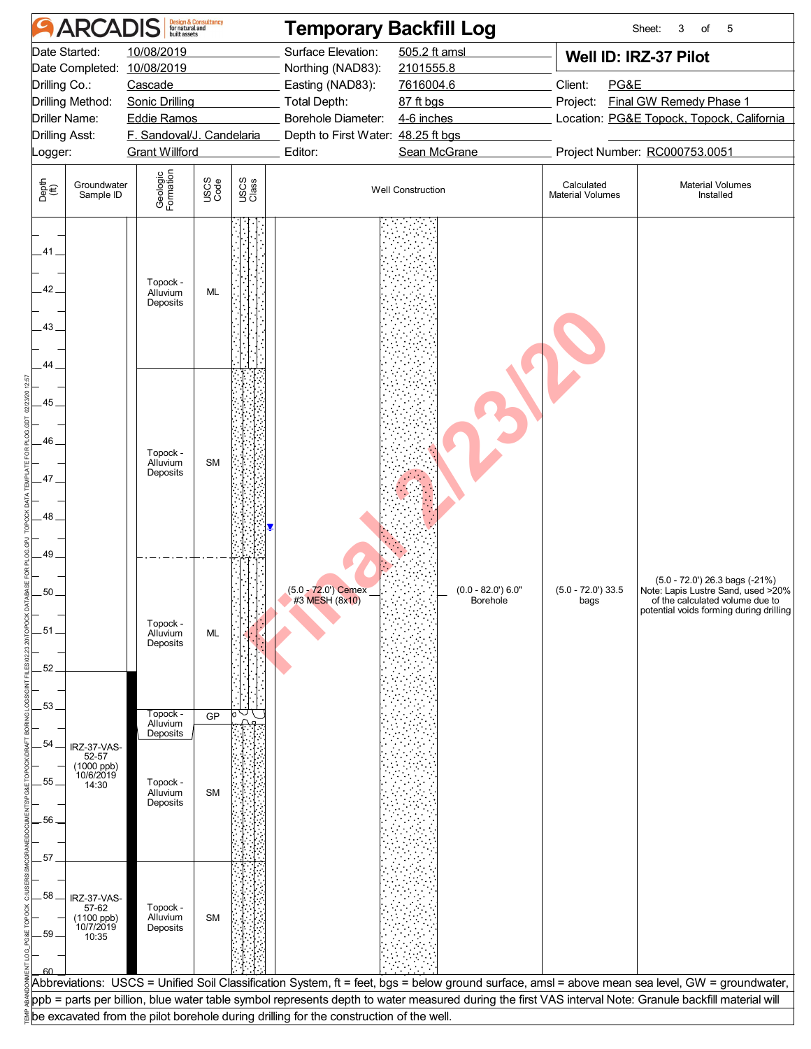|                                | <b>ARCADIS</b>                                                                                                                                                                                                                                                     |                                              | <b>Design &amp; Consultancy</b><br>for natural and                                                                  |                                                                                                                                      | <b>Temporary Backfill Log</b>                                                          |                                                                                                                                                        |                                       | Sheet:<br>3<br>of<br>5                                                                                                                                 |
|--------------------------------|--------------------------------------------------------------------------------------------------------------------------------------------------------------------------------------------------------------------------------------------------------------------|----------------------------------------------|---------------------------------------------------------------------------------------------------------------------|--------------------------------------------------------------------------------------------------------------------------------------|----------------------------------------------------------------------------------------|--------------------------------------------------------------------------------------------------------------------------------------------------------|---------------------------------------|--------------------------------------------------------------------------------------------------------------------------------------------------------|
| _ogger:                        | 10/08/2019<br>Date Started:<br>Date Completed:<br>10/08/2019<br>Drilling Co.:<br>Cascade<br>Drilling Method:<br><b>Sonic Drilling</b><br><b>Driller Name:</b><br><b>Eddie Ramos</b><br><b>Drilling Asst:</b><br>F. Sandoval/J. Candelaria<br><b>Grant Willford</b> |                                              | Surface Elevation:<br>Northing (NAD83):<br>Easting (NAD83):<br><b>Total Depth:</b><br>Borehole Diameter:<br>Editor: | 505.2 ft amsl<br>2101555.8<br>7616004.6<br>87 ft bgs<br>Project:<br>4-6 inches<br>Depth to First Water: 48.25 ft bgs<br>Sean McGrane |                                                                                        | Well ID: IRZ-37 Pilot<br>PG&E<br><b>Final GW Remedy Phase 1</b><br>Location: PG&E Topock, Topock, California<br>Project Number: RC000753.0051          |                                       |                                                                                                                                                        |
| Depth<br>$\bigoplus_{i=1}^{n}$ | Groundwater<br>Sample ID                                                                                                                                                                                                                                           | Geologic<br>Formation                        | USCS<br>Code                                                                                                        | USCS<br>Class                                                                                                                        |                                                                                        | <b>Well Construction</b>                                                                                                                               | Calculated<br><b>Material Volumes</b> | <b>Material Volumes</b><br>Installed                                                                                                                   |
| .41.<br>.42.<br>.43.           |                                                                                                                                                                                                                                                                    | Topock -<br>Alluvium<br>Deposits             | <b>ML</b>                                                                                                           |                                                                                                                                      |                                                                                        |                                                                                                                                                        |                                       |                                                                                                                                                        |
| .44<br>45.<br>.46<br>47<br>48  |                                                                                                                                                                                                                                                                    | Topock -<br>Alluvium<br>Deposits             | <b>SM</b>                                                                                                           |                                                                                                                                      |                                                                                        |                                                                                                                                                        |                                       |                                                                                                                                                        |
| 49<br>50<br>.51<br>52          |                                                                                                                                                                                                                                                                    | Topock -<br>Alluvium<br>Deposits             | <b>ML</b>                                                                                                           |                                                                                                                                      | (5.0 - 72.0') Cemex<br>#3 MESH (8x10)                                                  | $(0.0 - 82.0)$ 6.0"<br><b>Borehole</b>                                                                                                                 | $(5.0 - 72.0)$ 33.5<br>bags           | $(5.0 - 72.0')$ 26.3 bags $(-21%)$<br>Note: Lapis Lustre Sand, used >20%<br>of the calculated volume due to<br>potential voids forming during drilling |
| 53.                            |                                                                                                                                                                                                                                                                    |                                              |                                                                                                                     |                                                                                                                                      |                                                                                        |                                                                                                                                                        |                                       |                                                                                                                                                        |
|                                |                                                                                                                                                                                                                                                                    | Topock -<br>Alluvium                         | GP                                                                                                                  |                                                                                                                                      |                                                                                        |                                                                                                                                                        |                                       |                                                                                                                                                        |
| 54<br>55<br>.56                | IRZ-37-VAS-<br>52-57<br>(1000 ppb)<br>10/6/2019<br>14:30                                                                                                                                                                                                           | Deposits<br>Topock -<br>Alluvium<br>Deposits | <b>SM</b>                                                                                                           |                                                                                                                                      |                                                                                        |                                                                                                                                                        |                                       |                                                                                                                                                        |
| 57<br>58<br>.59                | IRZ-37-VAS-<br>57-62<br>(1100 ppb)<br>10/7/2019<br>10:35                                                                                                                                                                                                           | Topock -<br>Alluvium<br>Deposits             | <b>SM</b>                                                                                                           |                                                                                                                                      |                                                                                        |                                                                                                                                                        |                                       | Abbreviations: USCS = Unified Soil Classification System, ft = feet, bgs = below ground surface, amsl = above mean sea level, GW = groundwater,        |
|                                |                                                                                                                                                                                                                                                                    |                                              |                                                                                                                     |                                                                                                                                      |                                                                                        | ppb = parts per billion, blue water table symbol represents depth to water measured during the first VAS interval Note: Granule backfill material will |                                       |                                                                                                                                                        |
|                                |                                                                                                                                                                                                                                                                    |                                              |                                                                                                                     |                                                                                                                                      | be excavated from the pilot borehole during drilling for the construction of the well. |                                                                                                                                                        |                                       |                                                                                                                                                        |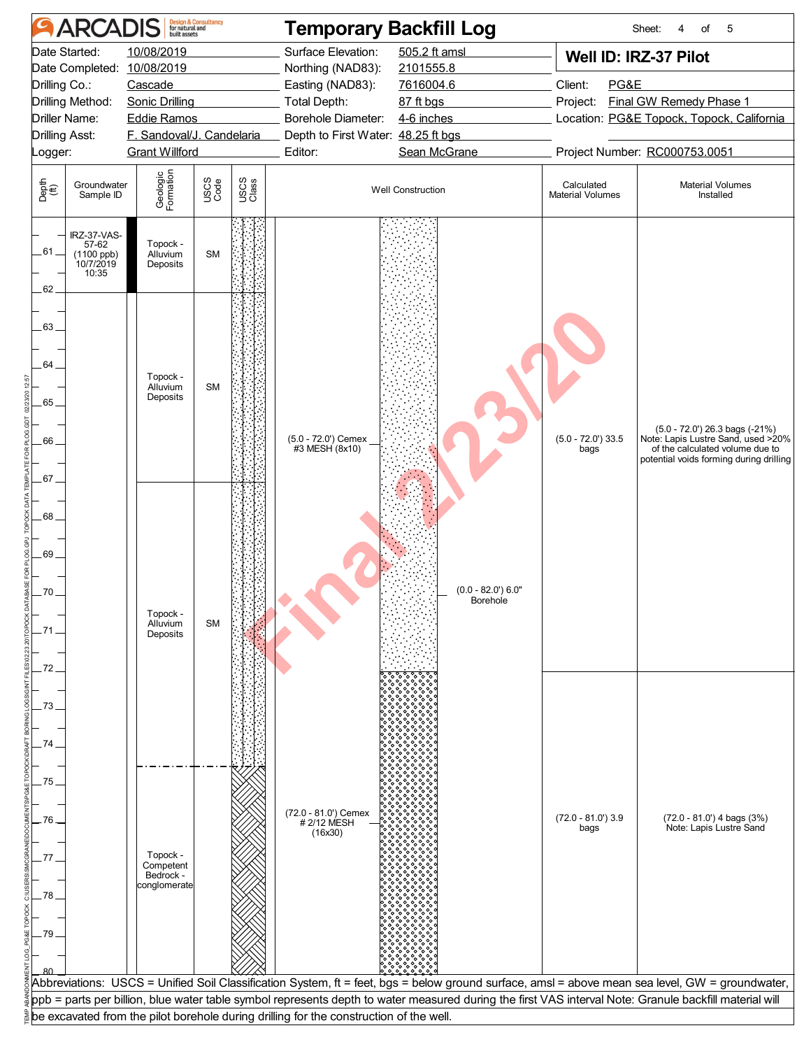